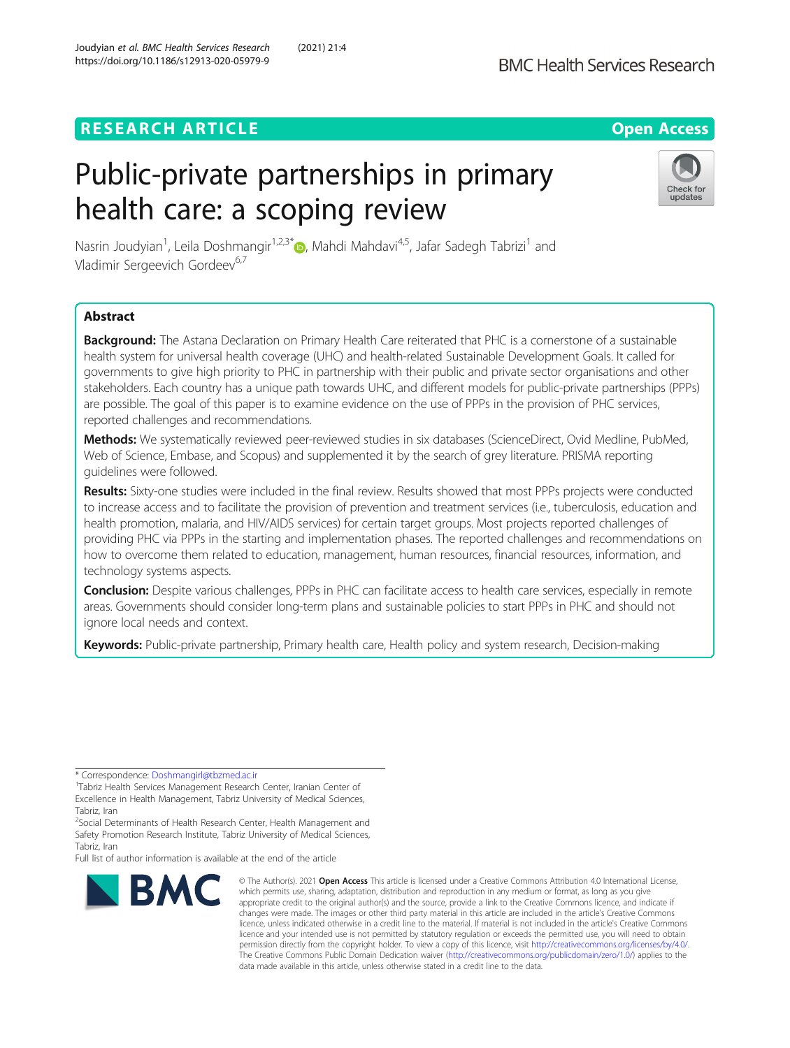# **RESEARCH ARTICLE Example 2014 12:30 The Contract of Contract ACCESS**

# Public-private partnerships in primary health care: a scoping review



Nasrin Joudyian<sup>1</sup>, Leila Doshmangir<sup>1,2,3\*</sup>®, Mahdi Mahdavi<sup>4,5</sup>, Jafar Sadegh Tabrizi<sup>1</sup> and Vladimir Sergeevich Gordeev<sup>6,7</sup>

# Abstract

Background: The Astana Declaration on Primary Health Care reiterated that PHC is a cornerstone of a sustainable health system for universal health coverage (UHC) and health-related Sustainable Development Goals. It called for governments to give high priority to PHC in partnership with their public and private sector organisations and other stakeholders. Each country has a unique path towards UHC, and different models for public-private partnerships (PPPs) are possible. The goal of this paper is to examine evidence on the use of PPPs in the provision of PHC services, reported challenges and recommendations.

Methods: We systematically reviewed peer-reviewed studies in six databases (ScienceDirect, Ovid Medline, PubMed, Web of Science, Embase, and Scopus) and supplemented it by the search of grey literature. PRISMA reporting guidelines were followed.

Results: Sixty-one studies were included in the final review. Results showed that most PPPs projects were conducted to increase access and to facilitate the provision of prevention and treatment services (i.e., tuberculosis, education and health promotion, malaria, and HIV/AIDS services) for certain target groups. Most projects reported challenges of providing PHC via PPPs in the starting and implementation phases. The reported challenges and recommendations on how to overcome them related to education, management, human resources, financial resources, information, and technology systems aspects.

**Conclusion:** Despite various challenges, PPPs in PHC can facilitate access to health care services, especially in remote areas. Governments should consider long-term plans and sustainable policies to start PPPs in PHC and should not ignore local needs and context.

Keywords: Public-private partnership, Primary health care, Health policy and system research, Decision-making

Full list of author information is available at the end of the article



<sup>©</sup> The Author(s), 2021 **Open Access** This article is licensed under a Creative Commons Attribution 4.0 International License, which permits use, sharing, adaptation, distribution and reproduction in any medium or format, as long as you give appropriate credit to the original author(s) and the source, provide a link to the Creative Commons licence, and indicate if changes were made. The images or other third party material in this article are included in the article's Creative Commons licence, unless indicated otherwise in a credit line to the material. If material is not included in the article's Creative Commons licence and your intended use is not permitted by statutory regulation or exceeds the permitted use, you will need to obtain permission directly from the copyright holder. To view a copy of this licence, visit [http://creativecommons.org/licenses/by/4.0/.](http://creativecommons.org/licenses/by/4.0/) The Creative Commons Public Domain Dedication waiver [\(http://creativecommons.org/publicdomain/zero/1.0/](http://creativecommons.org/publicdomain/zero/1.0/)) applies to the data made available in this article, unless otherwise stated in a credit line to the data.

<sup>\*</sup> Correspondence: [Doshmangirl@tbzmed.ac.ir](mailto:Doshmangirl@tbzmed.ac.ir) <sup>1</sup>

<sup>&</sup>lt;sup>1</sup>Tabriz Health Services Management Research Center, Iranian Center of Excellence in Health Management, Tabriz University of Medical Sciences, Tabriz, Iran

<sup>&</sup>lt;sup>2</sup>Social Determinants of Health Research Center, Health Management and Safety Promotion Research Institute, Tabriz University of Medical Sciences, Tabriz, Iran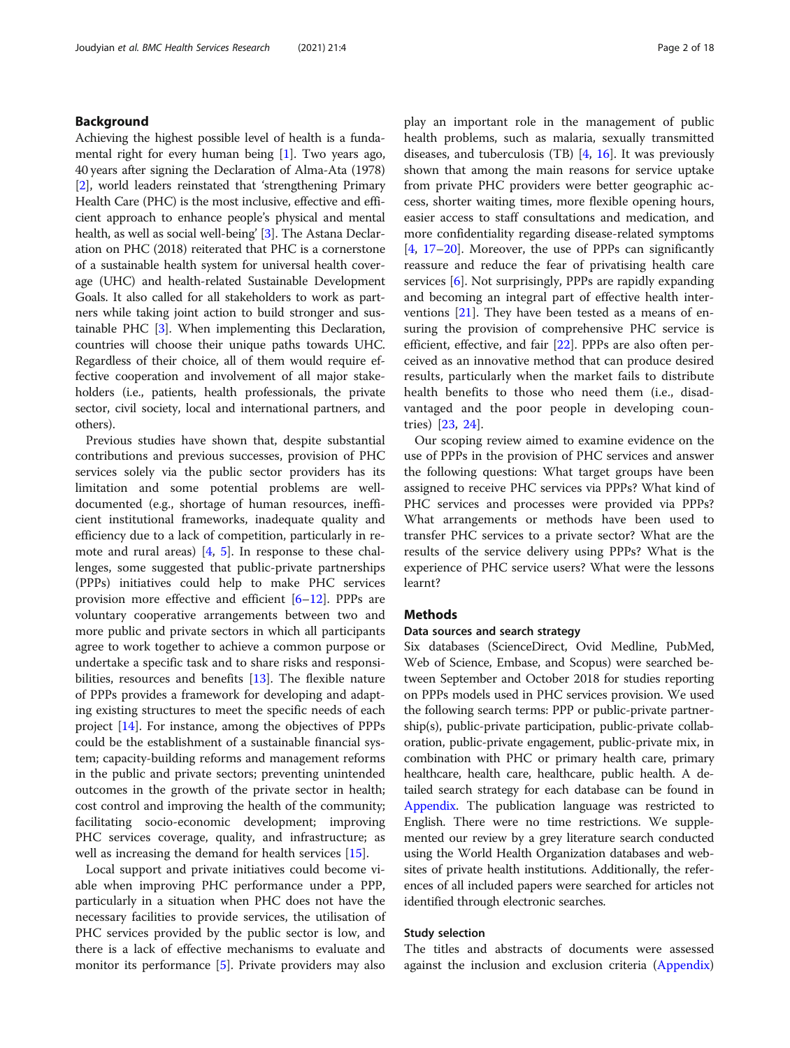### Background

Achieving the highest possible level of health is a fundamental right for every human being [[1](#page-15-0)]. Two years ago, 40 years after signing the Declaration of Alma-Ata (1978) [[2\]](#page-15-0), world leaders reinstated that 'strengthening Primary Health Care (PHC) is the most inclusive, effective and efficient approach to enhance people's physical and mental health, as well as social well-being' [[3](#page-15-0)]. The Astana Declaration on PHC (2018) reiterated that PHC is a cornerstone of a sustainable health system for universal health coverage (UHC) and health-related Sustainable Development Goals. It also called for all stakeholders to work as partners while taking joint action to build stronger and sustainable PHC [\[3](#page-15-0)]. When implementing this Declaration, countries will choose their unique paths towards UHC. Regardless of their choice, all of them would require effective cooperation and involvement of all major stakeholders (i.e., patients, health professionals, the private sector, civil society, local and international partners, and others).

Previous studies have shown that, despite substantial contributions and previous successes, provision of PHC services solely via the public sector providers has its limitation and some potential problems are welldocumented (e.g., shortage of human resources, inefficient institutional frameworks, inadequate quality and efficiency due to a lack of competition, particularly in remote and rural areas) [\[4](#page-15-0), [5](#page-15-0)]. In response to these challenges, some suggested that public-private partnerships (PPPs) initiatives could help to make PHC services provision more effective and efficient [[6](#page-15-0)–[12](#page-15-0)]. PPPs are voluntary cooperative arrangements between two and more public and private sectors in which all participants agree to work together to achieve a common purpose or undertake a specific task and to share risks and responsibilities, resources and benefits [[13\]](#page-15-0). The flexible nature of PPPs provides a framework for developing and adapting existing structures to meet the specific needs of each project [[14\]](#page-15-0). For instance, among the objectives of PPPs could be the establishment of a sustainable financial system; capacity-building reforms and management reforms in the public and private sectors; preventing unintended outcomes in the growth of the private sector in health; cost control and improving the health of the community; facilitating socio-economic development; improving PHC services coverage, quality, and infrastructure; as well as increasing the demand for health services [\[15](#page-15-0)].

Local support and private initiatives could become viable when improving PHC performance under a PPP, particularly in a situation when PHC does not have the necessary facilities to provide services, the utilisation of PHC services provided by the public sector is low, and there is a lack of effective mechanisms to evaluate and monitor its performance [[5\]](#page-15-0). Private providers may also play an important role in the management of public health problems, such as malaria, sexually transmitted diseases, and tuberculosis (TB) [\[4](#page-15-0), [16\]](#page-15-0). It was previously shown that among the main reasons for service uptake from private PHC providers were better geographic access, shorter waiting times, more flexible opening hours, easier access to staff consultations and medication, and more confidentiality regarding disease-related symptoms [[4,](#page-15-0) [17](#page-15-0)–[20\]](#page-15-0). Moreover, the use of PPPs can significantly reassure and reduce the fear of privatising health care services [\[6](#page-15-0)]. Not surprisingly, PPPs are rapidly expanding and becoming an integral part of effective health interventions [\[21\]](#page-15-0). They have been tested as a means of ensuring the provision of comprehensive PHC service is efficient, effective, and fair [\[22](#page-15-0)]. PPPs are also often perceived as an innovative method that can produce desired results, particularly when the market fails to distribute health benefits to those who need them (i.e., disadvantaged and the poor people in developing countries) [\[23](#page-15-0), [24](#page-15-0)].

Our scoping review aimed to examine evidence on the use of PPPs in the provision of PHC services and answer the following questions: What target groups have been assigned to receive PHC services via PPPs? What kind of PHC services and processes were provided via PPPs? What arrangements or methods have been used to transfer PHC services to a private sector? What are the results of the service delivery using PPPs? What is the experience of PHC service users? What were the lessons learnt?

# Methods

#### Data sources and search strategy

Six databases (ScienceDirect, Ovid Medline, PubMed, Web of Science, Embase, and Scopus) were searched between September and October 2018 for studies reporting on PPPs models used in PHC services provision. We used the following search terms: PPP or public-private partnership(s), public-private participation, public-private collaboration, public-private engagement, public-private mix, in combination with PHC or primary health care, primary healthcare, health care, healthcare, public health. A detailed search strategy for each database can be found in [Appendix.](#page-14-0) The publication language was restricted to English. There were no time restrictions. We supplemented our review by a grey literature search conducted using the World Health Organization databases and websites of private health institutions. Additionally, the references of all included papers were searched for articles not identified through electronic searches.

#### Study selection

The titles and abstracts of documents were assessed against the inclusion and exclusion criteria ([Appendix](#page-14-0))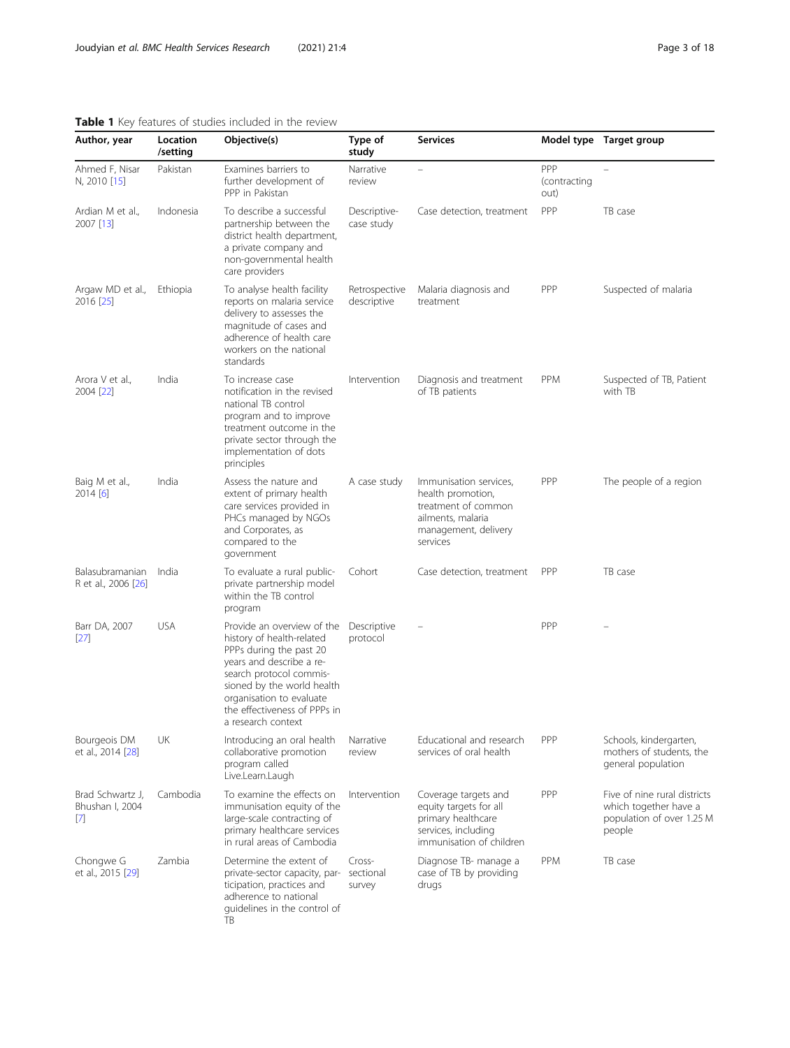#### <span id="page-2-0"></span>Table 1 Key features of studies included in the review

| Author, year                           | Location<br>/setting | Objective(s)                                                                                                                                                                                                                                              | Type of<br>study              | <b>Services</b>                                                                                                             |                             | Model type Target group                                                                      |
|----------------------------------------|----------------------|-----------------------------------------------------------------------------------------------------------------------------------------------------------------------------------------------------------------------------------------------------------|-------------------------------|-----------------------------------------------------------------------------------------------------------------------------|-----------------------------|----------------------------------------------------------------------------------------------|
| Ahmed F, Nisar<br>N, 2010 [15]         | Pakistan             | Examines barriers to<br>further development of<br>PPP in Pakistan                                                                                                                                                                                         | Narrative<br>review           | $\overline{\phantom{0}}$                                                                                                    | PPP<br>(contracting<br>out) |                                                                                              |
| Ardian M et al.,<br>2007 [13]          | Indonesia            | To describe a successful<br>partnership between the<br>district health department,<br>a private company and<br>non-governmental health<br>care providers                                                                                                  | Descriptive-<br>case study    | Case detection, treatment                                                                                                   | PPP                         | TB case                                                                                      |
| Argaw MD et al.,<br>2016 [25]          | Ethiopia             | To analyse health facility<br>reports on malaria service<br>delivery to assesses the<br>magnitude of cases and<br>adherence of health care<br>workers on the national<br>standards                                                                        | Retrospective<br>descriptive  | Malaria diagnosis and<br>treatment                                                                                          | PPP                         | Suspected of malaria                                                                         |
| Arora V et al.,<br>2004 [22]           | India                | To increase case<br>notification in the revised<br>national TB control<br>program and to improve<br>treatment outcome in the<br>private sector through the<br>implementation of dots<br>principles                                                        | Intervention                  | Diagnosis and treatment<br>of TB patients                                                                                   | PPM                         | Suspected of TB, Patient<br>with TB                                                          |
| Baig M et al.,<br>2014 [6]             | India                | Assess the nature and<br>extent of primary health<br>care services provided in<br>PHCs managed by NGOs<br>and Corporates, as<br>compared to the<br>government                                                                                             | A case study                  | Immunisation services,<br>health promotion,<br>treatment of common<br>ailments, malaria<br>management, delivery<br>services | <b>PPP</b>                  | The people of a region                                                                       |
| Balasubramanian<br>R et al., 2006 [26] | India                | To evaluate a rural public-<br>private partnership model<br>within the TB control<br>program                                                                                                                                                              | Cohort                        | Case detection, treatment                                                                                                   | PPP                         | TB case                                                                                      |
| Barr DA, 2007<br>$[27]$                | <b>USA</b>           | Provide an overview of the<br>history of health-related<br>PPPs during the past 20<br>years and describe a re-<br>search protocol commis-<br>sioned by the world health<br>organisation to evaluate<br>the effectiveness of PPPs in<br>a research context | Descriptive<br>protocol       |                                                                                                                             | PPP                         |                                                                                              |
| Bourgeois DM<br>et al., 2014 [28]      | UK                   | Introducing an oral health<br>collaborative promotion<br>program called<br>Live.Learn.Laugh                                                                                                                                                               | Narrative<br>review           | Educational and research<br>services of oral health                                                                         | PPP                         | Schools, kindergarten,<br>mothers of students, the<br>general population                     |
| Brad Schwartz J,<br>Bhushan I, 2004    | Cambodia             | To examine the effects on<br>immunisation equity of the<br>large-scale contracting of<br>primary healthcare services<br>in rural areas of Cambodia                                                                                                        | Intervention                  | Coverage targets and<br>equity targets for all<br>primary healthcare<br>services, including<br>immunisation of children     | PPP                         | Five of nine rural districts<br>which together have a<br>population of over 1.25 M<br>people |
| Chongwe G<br>et al., 2015 [29]         | Zambia               | Determine the extent of<br>private-sector capacity, par-<br>ticipation, practices and<br>adherence to national<br>quidelines in the control of<br>TB                                                                                                      | Cross-<br>sectional<br>survey | Diagnose TB- manage a<br>case of TB by providing<br>drugs                                                                   | PPM                         | TB case                                                                                      |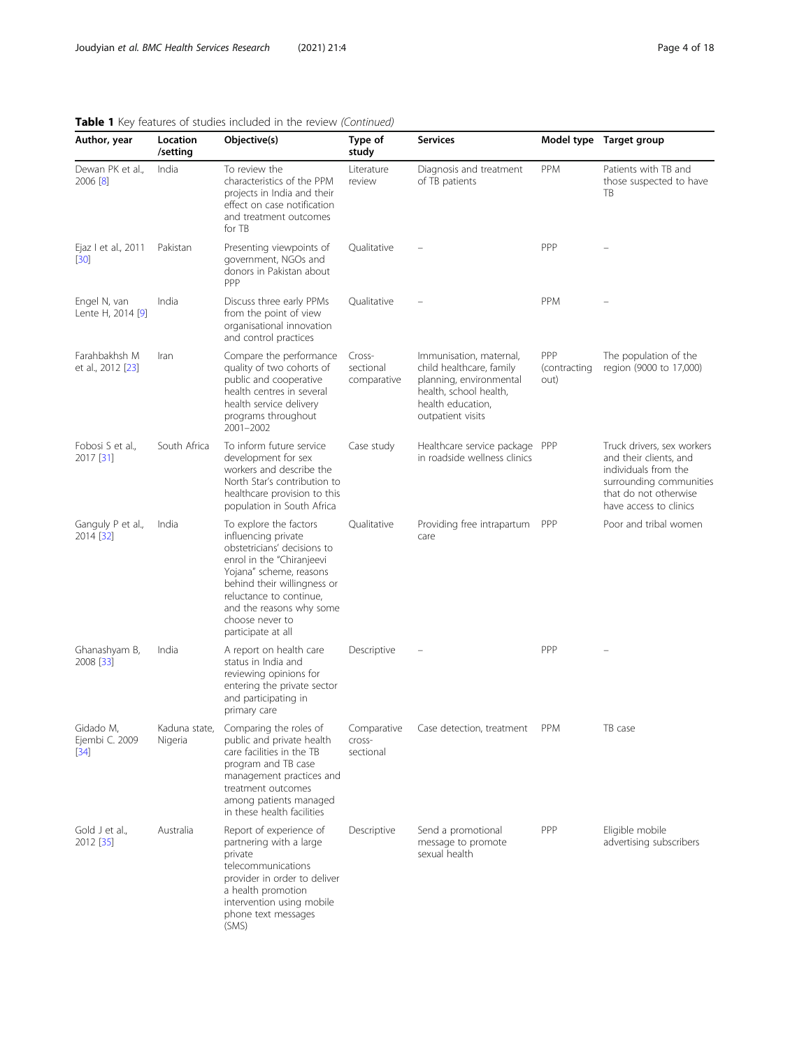| Page 4 of 18 |  |  |  |
|--------------|--|--|--|
|--------------|--|--|--|

| Author, year                          | Location<br>/setting     | Objective(s)                                                                                                                                                                                                                                                        | Type of<br>study                   | <b>Services</b>                                                                                                                                    |                             | Model type Target group                                                                                                                                    |
|---------------------------------------|--------------------------|---------------------------------------------------------------------------------------------------------------------------------------------------------------------------------------------------------------------------------------------------------------------|------------------------------------|----------------------------------------------------------------------------------------------------------------------------------------------------|-----------------------------|------------------------------------------------------------------------------------------------------------------------------------------------------------|
| Dewan PK et al.,<br>2006 [8]          | India                    | To review the<br>characteristics of the PPM<br>projects in India and their<br>effect on case notification<br>and treatment outcomes<br>for TB                                                                                                                       | Literature<br>review               | Diagnosis and treatment<br>of TB patients                                                                                                          | <b>PPM</b>                  | Patients with TB and<br>those suspected to have<br>TB                                                                                                      |
| Ejaz I et al., 2011<br>$[30]$         | Pakistan                 | Presenting viewpoints of<br>government, NGOs and<br>donors in Pakistan about<br>PPP                                                                                                                                                                                 | Qualitative                        |                                                                                                                                                    | PPP                         |                                                                                                                                                            |
| Engel N, van<br>Lente H, 2014 [9]     | India                    | Discuss three early PPMs<br>from the point of view<br>organisational innovation<br>and control practices                                                                                                                                                            | Qualitative                        |                                                                                                                                                    | <b>PPM</b>                  |                                                                                                                                                            |
| Farahbakhsh M<br>et al., 2012 [23]    | Iran                     | Compare the performance<br>quality of two cohorts of<br>public and cooperative<br>health centres in several<br>health service delivery<br>programs throughout<br>2001-2002                                                                                          | Cross-<br>sectional<br>comparative | Immunisation, maternal,<br>child healthcare, family<br>planning, environmental<br>health, school health,<br>health education,<br>outpatient visits | PPP<br>(contracting<br>out) | The population of the<br>region (9000 to 17,000)                                                                                                           |
| Fobosi S et al.,<br>2017 [31]         | South Africa             | To inform future service<br>development for sex<br>workers and describe the<br>North Star's contribution to<br>healthcare provision to this<br>population in South Africa                                                                                           | Case study                         | Healthcare service package<br>in roadside wellness clinics                                                                                         | PPP                         | Truck drivers, sex workers<br>and their clients, and<br>individuals from the<br>surrounding communities<br>that do not otherwise<br>have access to clinics |
| Ganguly P et al.,<br>2014 [32]        | India                    | To explore the factors<br>influencing private<br>obstetricians' decisions to<br>enrol in the "Chiranjeevi<br>Yojana" scheme, reasons<br>behind their willingness or<br>reluctance to continue,<br>and the reasons why some<br>choose never to<br>participate at all | Qualitative                        | Providing free intrapartum<br>care                                                                                                                 | PPP                         | Poor and tribal women                                                                                                                                      |
| Ghanashyam B,<br>2008 [33]            | India                    | A report on health care<br>status in India and<br>reviewing opinions for<br>entering the private sector<br>and participating in<br>primary care                                                                                                                     | Descriptive                        |                                                                                                                                                    | PPP                         |                                                                                                                                                            |
| Gidado M,<br>Ejembi C. 2009<br>$[34]$ | Kaduna state,<br>Nigeria | Comparing the roles of<br>public and private health<br>care facilities in the TB<br>program and TB case<br>management practices and<br>treatment outcomes<br>among patients managed<br>in these health facilities                                                   | Comparative<br>Cross-<br>sectional | Case detection, treatment                                                                                                                          | <b>PPM</b>                  | TB case                                                                                                                                                    |
| Gold J et al<br>2012 [35]             | Australia                | Report of experience of<br>partnering with a large<br>private<br>telecommunications<br>provider in order to deliver<br>a health promotion<br>intervention using mobile<br>phone text messages<br>(SMS)                                                              | Descriptive                        | Send a promotional<br>message to promote<br>sexual health                                                                                          | PPP                         | Eligible mobile<br>advertising subscribers                                                                                                                 |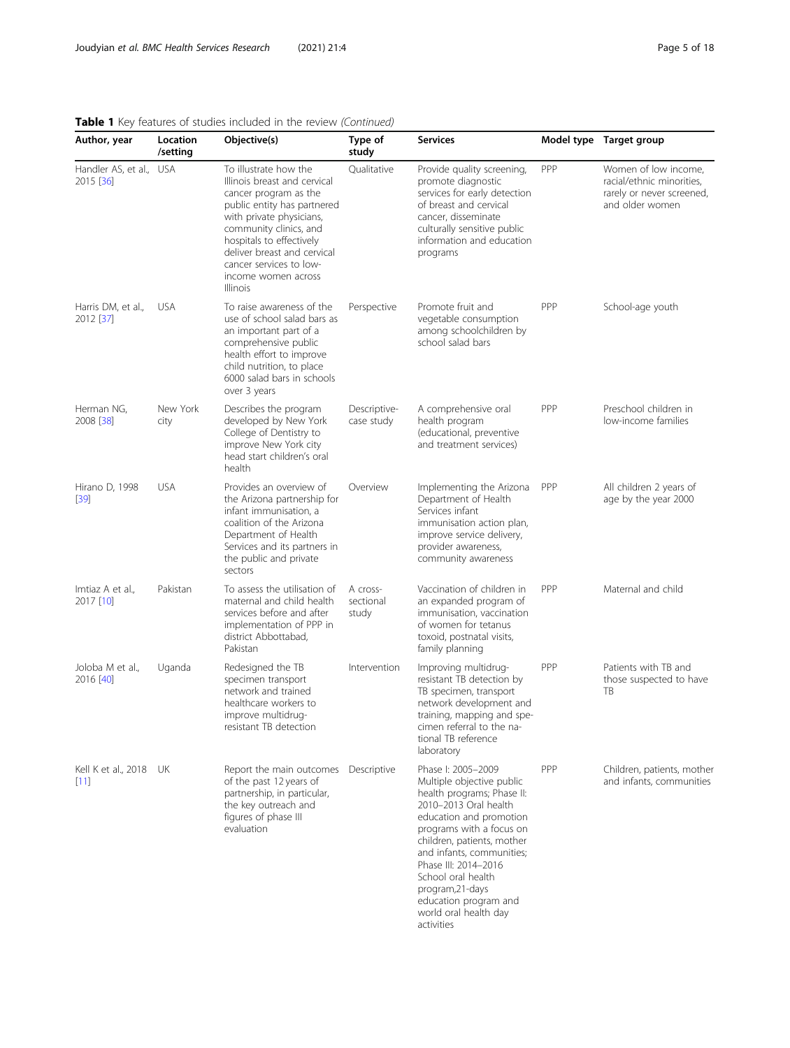| Author, year                         | Location<br>/setting | Objective(s)                                                                                                                                                                                                                                                                                        | Type of<br>study               | <b>Services</b>                                                                                                                                                                                                                                                                                                                                            |     | Model type Target group                                                                           |
|--------------------------------------|----------------------|-----------------------------------------------------------------------------------------------------------------------------------------------------------------------------------------------------------------------------------------------------------------------------------------------------|--------------------------------|------------------------------------------------------------------------------------------------------------------------------------------------------------------------------------------------------------------------------------------------------------------------------------------------------------------------------------------------------------|-----|---------------------------------------------------------------------------------------------------|
| Handler AS, et al., USA<br>2015 [36] |                      | To illustrate how the<br>Illinois breast and cervical<br>cancer program as the<br>public entity has partnered<br>with private physicians,<br>community clinics, and<br>hospitals to effectively<br>deliver breast and cervical<br>cancer services to low-<br>income women across<br><b>Illinois</b> | Qualitative                    | Provide quality screening,<br>promote diagnostic<br>services for early detection<br>of breast and cervical<br>cancer, disseminate<br>culturally sensitive public<br>information and education<br>programs                                                                                                                                                  | PPP | Women of low income,<br>racial/ethnic minorities,<br>rarely or never screened,<br>and older women |
| Harris DM, et al.,<br>2012 [37]      | <b>USA</b>           | To raise awareness of the<br>use of school salad bars as<br>an important part of a<br>comprehensive public<br>health effort to improve<br>child nutrition, to place<br>6000 salad bars in schools<br>over 3 years                                                                                   | Perspective                    | Promote fruit and<br>vegetable consumption<br>among schoolchildren by<br>school salad bars                                                                                                                                                                                                                                                                 | PPP | School-age youth                                                                                  |
| Herman NG,<br>2008 [38]              | New York<br>city     | Describes the program<br>developed by New York<br>College of Dentistry to<br>improve New York city<br>head start children's oral<br>health                                                                                                                                                          | Descriptive-<br>case study     | A comprehensive oral<br>health program<br>(educational, preventive<br>and treatment services)                                                                                                                                                                                                                                                              | PPP | Preschool children in<br>low-income families                                                      |
| Hirano D, 1998<br>$[39]$             | <b>USA</b>           | Provides an overview of<br>the Arizona partnership for<br>infant immunisation, a<br>coalition of the Arizona<br>Department of Health<br>Services and its partners in<br>the public and private<br>sectors                                                                                           | Overview                       | Implementing the Arizona<br>Department of Health<br>Services infant<br>immunisation action plan,<br>improve service delivery,<br>provider awareness,<br>community awareness                                                                                                                                                                                | PPP | All children 2 years of<br>age by the year 2000                                                   |
| Imtiaz A et al.,<br>2017 [10]        | Pakistan             | To assess the utilisation of<br>maternal and child health<br>services before and after<br>implementation of PPP in<br>district Abbottabad,<br>Pakistan                                                                                                                                              | A cross-<br>sectional<br>study | Vaccination of children in<br>an expanded program of<br>immunisation, vaccination<br>of women for tetanus<br>toxoid, postnatal visits,<br>family planning                                                                                                                                                                                                  | PPP | Maternal and child                                                                                |
| Joloba M et al.,<br>2016 [40]        | Uganda               | Redesigned the TB<br>specimen transport<br>network and trained<br>healthcare workers to<br>improve multidrug-<br>resistant TB detection                                                                                                                                                             | Intervention                   | Improving multidrug-<br>resistant TB detection by<br>TB specimen, transport<br>network development and<br>training, mapping and spe-<br>cimen referral to the na-<br>tional TB reference<br>laboratory                                                                                                                                                     | PPP | Patients with TB and<br>those suspected to have<br>TB                                             |
| Kell K et al., 2018 UK<br>[11]       |                      | Report the main outcomes Descriptive<br>of the past 12 years of<br>partnership, in particular,<br>the key outreach and<br>figures of phase III<br>evaluation                                                                                                                                        |                                | Phase I: 2005-2009<br>Multiple objective public<br>health programs; Phase II:<br>2010-2013 Oral health<br>education and promotion<br>programs with a focus on<br>children, patients, mother<br>and infants, communities;<br>Phase III: 2014-2016<br>School oral health<br>program, 21-days<br>education program and<br>world oral health day<br>activities | PPP | Children, patients, mother<br>and infants, communities                                            |

activities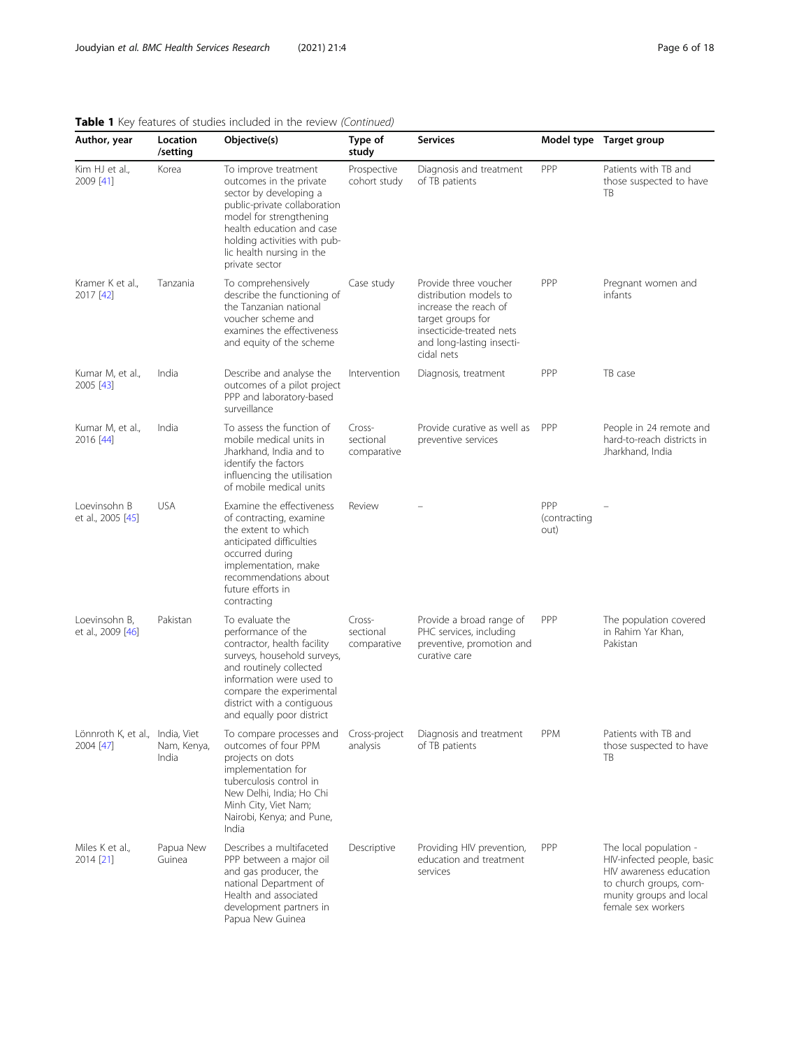| Page 6 or 1 |  |
|-------------|--|
|             |  |

| Author, year                                 | Location<br>/setting | Objective(s)                                                                                                                                                                                                                                      | Type of<br>study                   | <b>Services</b>                                                                                                                                                      |                             | Model type Target group                                                                                                                                    |
|----------------------------------------------|----------------------|---------------------------------------------------------------------------------------------------------------------------------------------------------------------------------------------------------------------------------------------------|------------------------------------|----------------------------------------------------------------------------------------------------------------------------------------------------------------------|-----------------------------|------------------------------------------------------------------------------------------------------------------------------------------------------------|
| Kim HJ et al.,<br>2009 [41]                  | Korea                | To improve treatment<br>outcomes in the private<br>sector by developing a<br>public-private collaboration<br>model for strengthening<br>health education and case<br>holding activities with pub-<br>lic health nursing in the<br>private sector  | Prospective<br>cohort study        | Diagnosis and treatment<br>of TB patients                                                                                                                            | PPP                         | Patients with TB and<br>those suspected to have<br>TB                                                                                                      |
| Kramer K et al.,<br>2017 [42]                | Tanzania             | To comprehensively<br>describe the functioning of<br>the Tanzanian national<br>voucher scheme and<br>examines the effectiveness<br>and equity of the scheme                                                                                       | Case study                         | Provide three voucher<br>distribution models to<br>increase the reach of<br>target groups for<br>insecticide-treated nets<br>and long-lasting insecti-<br>cidal nets | PPP                         | Pregnant women and<br>infants                                                                                                                              |
| Kumar M, et al.,<br>2005 [43]                | India                | Describe and analyse the<br>outcomes of a pilot project<br>PPP and laboratory-based<br>surveillance                                                                                                                                               | Intervention                       | Diagnosis, treatment                                                                                                                                                 | PPP                         | TB case                                                                                                                                                    |
| Kumar M, et al.,<br>2016 [44]                | India                | To assess the function of<br>mobile medical units in<br>Jharkhand, India and to<br>identify the factors<br>influencing the utilisation<br>of mobile medical units                                                                                 | Cross-<br>sectional<br>comparative | Provide curative as well as<br>preventive services                                                                                                                   | PPP                         | People in 24 remote and<br>hard-to-reach districts in<br>Jharkhand, India                                                                                  |
| Loevinsohn B<br>et al., 2005 [45]            | <b>USA</b>           | Examine the effectiveness<br>of contracting, examine<br>the extent to which<br>anticipated difficulties<br>occurred during<br>implementation, make<br>recommendations about<br>future efforts in<br>contracting                                   | Review                             |                                                                                                                                                                      | PPP<br>(contracting<br>out) |                                                                                                                                                            |
| Loevinsohn B,<br>et al., 2009 [46]           | Pakistan             | To evaluate the<br>performance of the<br>contractor, health facility<br>surveys, household surveys,<br>and routinely collected<br>information were used to<br>compare the experimental<br>district with a contiguous<br>and equally poor district | Cross-<br>sectional<br>comparative | Provide a broad range of<br>PHC services, including<br>preventive, promotion and<br>curative care                                                                    | <b>PPP</b>                  | The population covered<br>in Rahim Yar Khan,<br>Pakistan                                                                                                   |
| Lönnroth K, et al., India, Viet<br>2004 [47] | Nam, Kenya,<br>India | To compare processes and<br>outcomes of four PPM<br>projects on dots<br>implementation for<br>tuberculosis control in<br>New Delhi, India; Ho Chi<br>Minh City, Viet Nam;<br>Nairobi, Kenya; and Pune,<br>India                                   | Cross-project<br>analysis          | Diagnosis and treatment<br>of TB patients                                                                                                                            | <b>PPM</b>                  | Patients with TB and<br>those suspected to have<br>TB                                                                                                      |
| Miles K et al.,<br>2014 [21]                 | Papua New<br>Guinea  | Describes a multifaceted<br>PPP between a major oil<br>and gas producer, the<br>national Department of<br>Health and associated<br>development partners in<br>Papua New Guinea                                                                    | Descriptive                        | Providing HIV prevention,<br>education and treatment<br>services                                                                                                     | PPP                         | The local population -<br>HIV-infected people, basic<br>HIV awareness education<br>to church groups, com-<br>munity groups and local<br>female sex workers |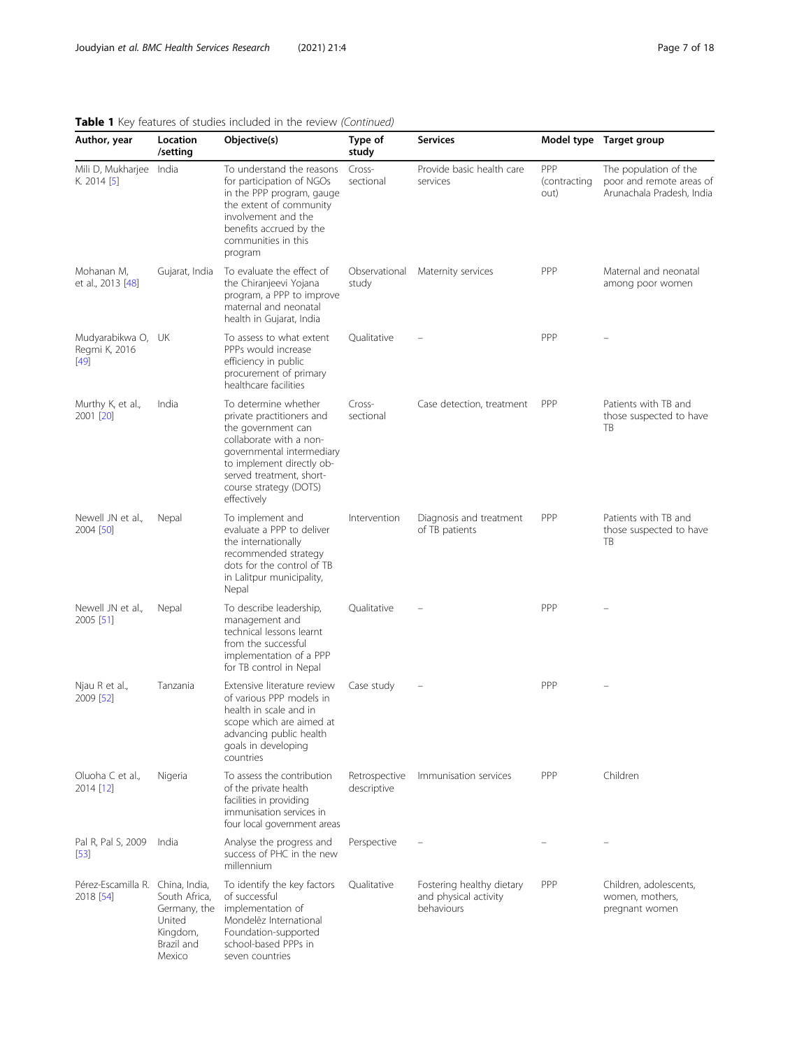| Author, year                                  | Location<br>/setting                                                        | Objective(s)                                                                                                                                                                                                                      | Type of<br>study             | <b>Services</b>                                                  |                             | Model type Target group                                                        |
|-----------------------------------------------|-----------------------------------------------------------------------------|-----------------------------------------------------------------------------------------------------------------------------------------------------------------------------------------------------------------------------------|------------------------------|------------------------------------------------------------------|-----------------------------|--------------------------------------------------------------------------------|
| Mili D, Mukharjee India<br>K. 2014 [5]        |                                                                             | To understand the reasons<br>for participation of NGOs<br>in the PPP program, gauge<br>the extent of community<br>involvement and the<br>benefits accrued by the<br>communities in this<br>program                                | Cross-<br>sectional          | Provide basic health care<br>services                            | PPP<br>(contracting<br>out) | The population of the<br>poor and remote areas of<br>Arunachala Pradesh, India |
| Mohanan M,<br>et al., 2013 [48]               | Gujarat, India                                                              | To evaluate the effect of<br>the Chiranjeevi Yojana<br>program, a PPP to improve<br>maternal and neonatal<br>health in Gujarat, India                                                                                             | Observational<br>study       | Maternity services                                               | PPP                         | Maternal and neonatal<br>among poor women                                      |
| Mudyarabikwa O, UK<br>Regmi K, 2016<br>$[49]$ |                                                                             | To assess to what extent<br>PPPs would increase<br>efficiency in public<br>procurement of primary<br>healthcare facilities                                                                                                        | Qualitative                  |                                                                  | PPP                         |                                                                                |
| Murthy K, et al.,<br>2001 [20]                | India                                                                       | To determine whether<br>private practitioners and<br>the government can<br>collaborate with a non-<br>governmental intermediary<br>to implement directly ob-<br>served treatment, short-<br>course strategy (DOTS)<br>effectively | Cross-<br>sectional          | Case detection, treatment                                        | PPP                         | Patients with TB and<br>those suspected to have<br>ТB                          |
| Newell JN et al.,<br>2004 [50]                | Nepal                                                                       | To implement and<br>evaluate a PPP to deliver<br>the internationally<br>recommended strategy<br>dots for the control of TB<br>in Lalitpur municipality,<br>Nepal                                                                  | Intervention                 | Diagnosis and treatment<br>of TB patients                        | PPP                         | Patients with TB and<br>those suspected to have<br>ТB                          |
| Newell JN et al.,<br>2005 [51]                | Nepal                                                                       | To describe leadership,<br>management and<br>technical lessons learnt<br>from the successful<br>implementation of a PPP<br>for TB control in Nepal                                                                                | Qualitative                  |                                                                  | PPP                         |                                                                                |
| Njau R et al.,<br>2009 [52]                   | Tanzania                                                                    | Extensive literature review<br>of various PPP models in<br>health in scale and in<br>scope which are aimed at<br>advancing public health<br>goals in developing<br>countries                                                      | Case study                   |                                                                  | PPP                         |                                                                                |
| Oluoha C et al.,<br>2014 [12]                 | Nigeria                                                                     | To assess the contribution<br>of the private health<br>facilities in providing<br>immunisation services in<br>four local government areas                                                                                         | Retrospective<br>descriptive | Immunisation services                                            | PPP                         | Children                                                                       |
| Pal R, Pal S, 2009<br>[53]                    | India                                                                       | Analyse the progress and<br>success of PHC in the new<br>millennium                                                                                                                                                               | Perspective                  |                                                                  |                             |                                                                                |
| Pérez-Escamilla R. China, India,<br>2018 [54] | South Africa,<br>Germany, the<br>United<br>Kingdom,<br>Brazil and<br>Mexico | To identify the key factors<br>of successful<br>implementation of<br>Mondelez International<br>Foundation-supported<br>school-based PPPs in<br>seven countries                                                                    | Qualitative                  | Fostering healthy dietary<br>and physical activity<br>behaviours | <b>PPP</b>                  | Children, adolescents,<br>women, mothers,<br>pregnant women                    |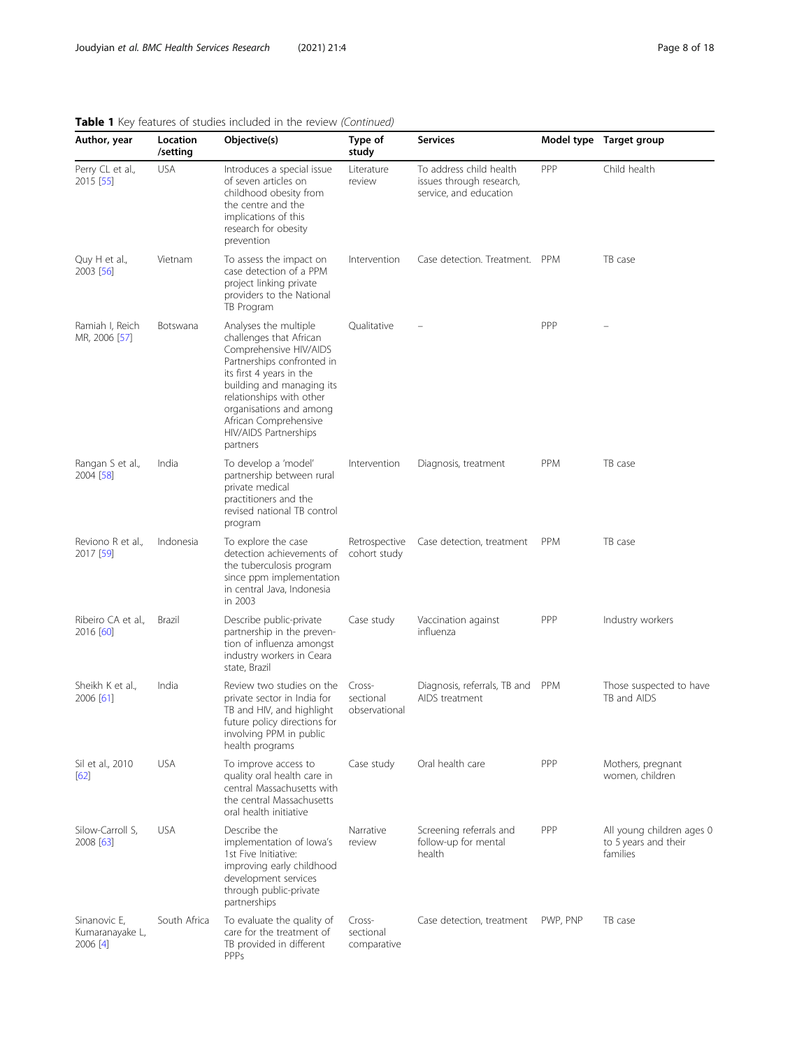| Author, year                                  | Location<br>/setting | Objective(s)                                                                                                                                                                                                                                                                           | Type of<br>study                     | <b>Services</b>                                                               |            | Model type Target group                                       |
|-----------------------------------------------|----------------------|----------------------------------------------------------------------------------------------------------------------------------------------------------------------------------------------------------------------------------------------------------------------------------------|--------------------------------------|-------------------------------------------------------------------------------|------------|---------------------------------------------------------------|
| Perry CL et al.,<br>2015 [55]                 | <b>USA</b>           | Introduces a special issue<br>of seven articles on<br>childhood obesity from<br>the centre and the<br>implications of this<br>research for obesity<br>prevention                                                                                                                       | Literature<br>review                 | To address child health<br>issues through research,<br>service, and education | PPP        | Child health                                                  |
| Quy H et al.,<br>2003 [56]                    | Vietnam              | To assess the impact on<br>case detection of a PPM<br>project linking private<br>providers to the National<br>TB Program                                                                                                                                                               | Intervention                         | Case detection. Treatment. PPM                                                |            | TB case                                                       |
| Ramiah I, Reich<br>MR, 2006 [57]              | Botswana             | Analyses the multiple<br>challenges that African<br>Comprehensive HIV/AIDS<br>Partnerships confronted in<br>its first 4 years in the<br>building and managing its<br>relationships with other<br>organisations and among<br>African Comprehensive<br>HIV/AIDS Partnerships<br>partners | Qualitative                          |                                                                               | PPP        |                                                               |
| Rangan S et al.,<br>2004 [58]                 | India                | To develop a 'model'<br>partnership between rural<br>private medical<br>practitioners and the<br>revised national TB control<br>program                                                                                                                                                | Intervention                         | Diagnosis, treatment                                                          | <b>PPM</b> | TB case                                                       |
| Reviono R et al.,<br>2017 [59]                | Indonesia            | To explore the case<br>detection achievements of<br>the tuberculosis program<br>since ppm implementation<br>in central Java, Indonesia<br>in 2003                                                                                                                                      | Retrospective<br>cohort study        | Case detection, treatment                                                     | <b>PPM</b> | TB case                                                       |
| Ribeiro CA et al.,<br>2016 [60]               | Brazil               | Describe public-private<br>partnership in the preven-<br>tion of influenza amongst<br>industry workers in Ceara<br>state, Brazil                                                                                                                                                       | Case study                           | Vaccination against<br>influenza                                              | PPP        | Industry workers                                              |
| Sheikh K et al.,<br>2006 [61]                 | India                | Review two studies on the<br>private sector in India for<br>TB and HIV, and highlight<br>future policy directions for<br>involving PPM in public<br>health programs                                                                                                                    | Cross-<br>sectional<br>observational | Diagnosis, referrals, TB and PPM<br>AIDS treatment                            |            | Those suspected to have<br>TB and AIDS                        |
| Sil et al., 2010<br>[62]                      | <b>USA</b>           | To improve access to<br>quality oral health care in<br>central Massachusetts with<br>the central Massachusetts<br>oral health initiative                                                                                                                                               | Case study                           | Oral health care                                                              | PPP        | Mothers, pregnant<br>women, children                          |
| Silow-Carroll S,<br>2008 [63]                 | <b>USA</b>           | Describe the<br>implementation of lowa's<br>1st Five Initiative:<br>improving early childhood<br>development services<br>through public-private<br>partnerships                                                                                                                        | Narrative<br>review                  | Screening referrals and<br>follow-up for mental<br>health                     | PPP        | All young children ages 0<br>to 5 years and their<br>families |
| Sinanovic E,<br>Kumaranayake L,<br>$2006$ [4] | South Africa         | To evaluate the quality of<br>care for the treatment of<br>TB provided in different<br>PPPs                                                                                                                                                                                            | Cross-<br>sectional<br>comparative   | Case detection, treatment                                                     | PWP, PNP   | TB case                                                       |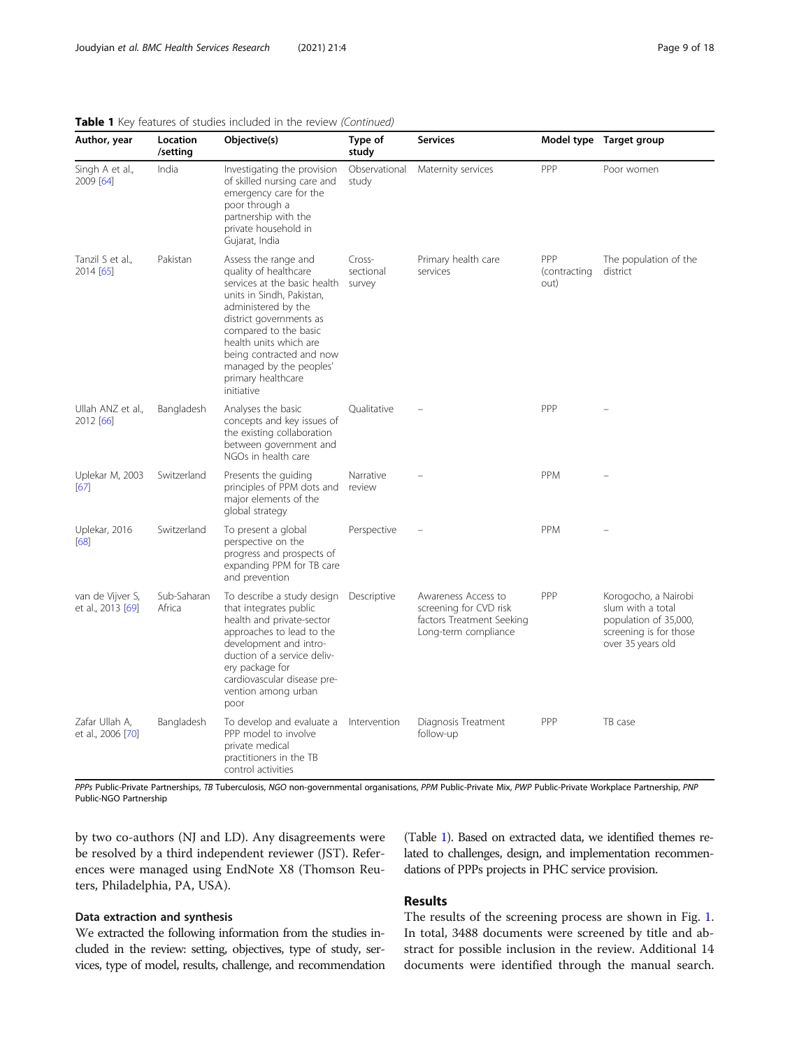| Author, year                          | Location<br>/setting  | Objective(s)                                                                                                                                                                                                                                                                                               | Type of<br>study              | <b>Services</b>                                                                                    |                             | Model type Target group                                                                                           |
|---------------------------------------|-----------------------|------------------------------------------------------------------------------------------------------------------------------------------------------------------------------------------------------------------------------------------------------------------------------------------------------------|-------------------------------|----------------------------------------------------------------------------------------------------|-----------------------------|-------------------------------------------------------------------------------------------------------------------|
| Singh A et al.,<br>2009 [64]          | India                 | Investigating the provision<br>of skilled nursing care and<br>emergency care for the<br>poor through a<br>partnership with the<br>private household in<br>Gujarat, India                                                                                                                                   | Observational<br>study        | Maternity services                                                                                 | PPP                         | Poor women                                                                                                        |
| Tanzil S et al.,<br>2014 [65]         | Pakistan              | Assess the range and<br>quality of healthcare<br>services at the basic health<br>units in Sindh, Pakistan,<br>administered by the<br>district governments as<br>compared to the basic<br>health units which are<br>being contracted and now<br>managed by the peoples'<br>primary healthcare<br>initiative | Cross-<br>sectional<br>survey | Primary health care<br>services                                                                    | PPP<br>(contracting<br>out) | The population of the<br>district                                                                                 |
| Ullah ANZ et al.,<br>2012 [66]        | Bangladesh            | Analyses the basic<br>concepts and key issues of<br>the existing collaboration<br>between government and<br>NGOs in health care                                                                                                                                                                            | Oualitative                   |                                                                                                    | PPP                         |                                                                                                                   |
| Uplekar M, 2003<br>[67]               | Switzerland           | Presents the guiding<br>principles of PPM dots and<br>major elements of the<br>global strategy                                                                                                                                                                                                             | Narrative<br>review           |                                                                                                    | PPM                         |                                                                                                                   |
| Uplekar, 2016<br>[68]                 | Switzerland           | To present a global<br>perspective on the<br>progress and prospects of<br>expanding PPM for TB care<br>and prevention                                                                                                                                                                                      | Perspective                   |                                                                                                    | <b>PPM</b>                  |                                                                                                                   |
| van de Vijver S,<br>et al., 2013 [69] | Sub-Saharan<br>Africa | To describe a study design Descriptive<br>that integrates public<br>health and private-sector<br>approaches to lead to the<br>development and intro-<br>duction of a service deliv-<br>ery package for<br>cardiovascular disease pre-<br>vention among urban<br>poor                                       |                               | Awareness Access to<br>screening for CVD risk<br>factors Treatment Seeking<br>Long-term compliance | PPP                         | Korogocho, a Nairobi<br>slum with a total<br>population of 35,000,<br>screening is for those<br>over 35 years old |
| Zafar Ullah A,<br>et al., 2006 [70]   | Bangladesh            | To develop and evaluate a<br>PPP model to involve<br>private medical<br>practitioners in the TB<br>control activities                                                                                                                                                                                      | Intervention                  | Diagnosis Treatment<br>follow-up                                                                   | PPP                         | TB case                                                                                                           |

PPPs Public-Private Partnerships, TB Tuberculosis, NGO non-governmental organisations, PPM Public-Private Mix, PWP Public-Private Workplace Partnership, PNP Public-NGO Partnership

by two co-authors (NJ and LD). Any disagreements were be resolved by a third independent reviewer (JST). References were managed using EndNote X8 (Thomson Reuters, Philadelphia, PA, USA).

#### Data extraction and synthesis

We extracted the following information from the studies included in the review: setting, objectives, type of study, services, type of model, results, challenge, and recommendation

(Table [1](#page-2-0)). Based on extracted data, we identified themes related to challenges, design, and implementation recommendations of PPPs projects in PHC service provision.

# Results

The results of the screening process are shown in Fig. [1](#page-9-0). In total, 3488 documents were screened by title and abstract for possible inclusion in the review. Additional 14 documents were identified through the manual search.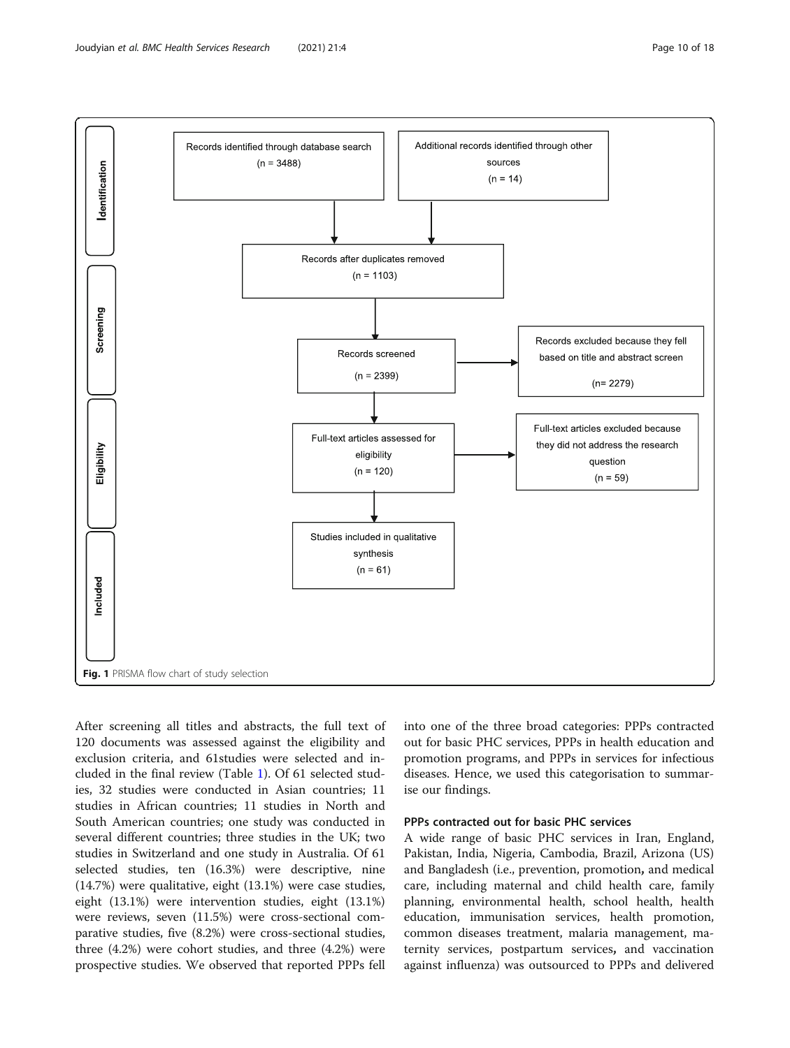<span id="page-9-0"></span>

After screening all titles and abstracts, the full text of 120 documents was assessed against the eligibility and exclusion criteria, and 61studies were selected and included in the final review (Table [1\)](#page-2-0). Of 61 selected studies, 32 studies were conducted in Asian countries; 11 studies in African countries; 11 studies in North and South American countries; one study was conducted in several different countries; three studies in the UK; two studies in Switzerland and one study in Australia. Of 61 selected studies, ten (16.3%) were descriptive, nine (14.7%) were qualitative, eight (13.1%) were case studies, eight (13.1%) were intervention studies, eight (13.1%) were reviews, seven (11.5%) were cross-sectional comparative studies, five (8.2%) were cross-sectional studies, three (4.2%) were cohort studies, and three (4.2%) were prospective studies. We observed that reported PPPs fell

into one of the three broad categories: PPPs contracted out for basic PHC services, PPPs in health education and promotion programs, and PPPs in services for infectious diseases. Hence, we used this categorisation to summarise our findings.

#### PPPs contracted out for basic PHC services

A wide range of basic PHC services in Iran, England, Pakistan, India, Nigeria, Cambodia, Brazil, Arizona (US) and Bangladesh (i.e., prevention, promotion, and medical care, including maternal and child health care, family planning, environmental health, school health, health education, immunisation services, health promotion, common diseases treatment, malaria management, maternity services, postpartum services, and vaccination against influenza) was outsourced to PPPs and delivered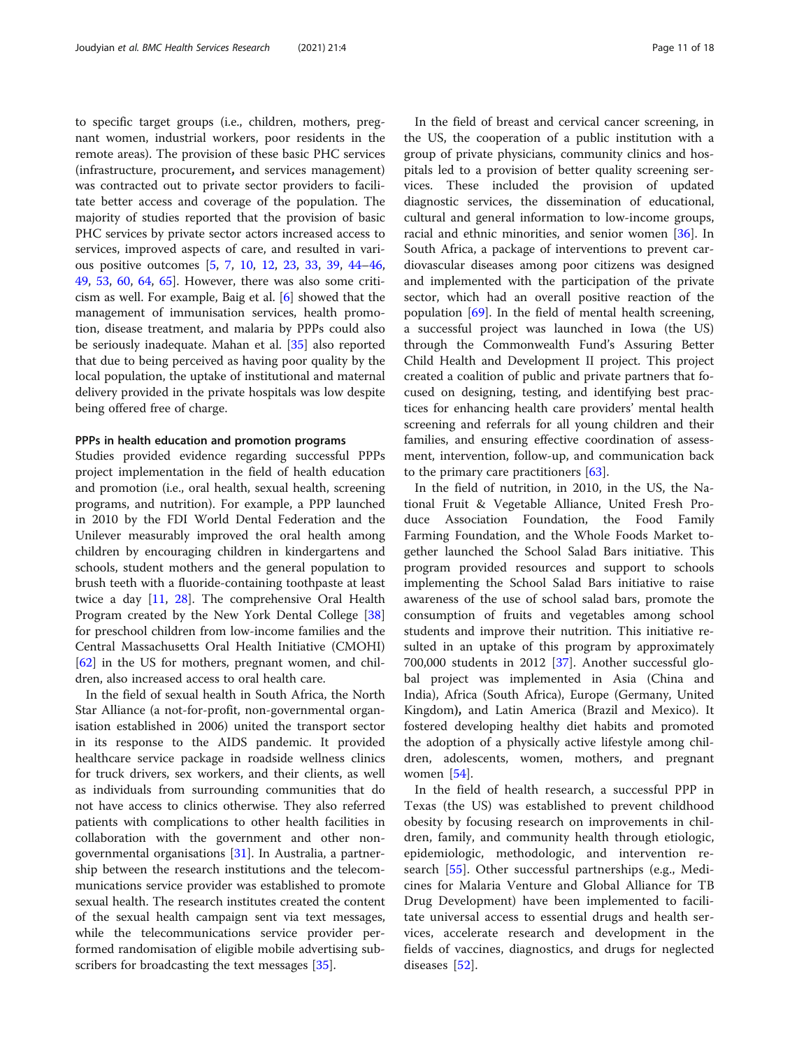to specific target groups (i.e., children, mothers, pregnant women, industrial workers, poor residents in the remote areas). The provision of these basic PHC services (infrastructure, procurement, and services management) was contracted out to private sector providers to facilitate better access and coverage of the population. The majority of studies reported that the provision of basic PHC services by private sector actors increased access to services, improved aspects of care, and resulted in various positive outcomes [\[5,](#page-15-0) [7](#page-15-0), [10,](#page-15-0) [12](#page-15-0), [23,](#page-15-0) [33,](#page-16-0) [39](#page-16-0), [44](#page-16-0)–[46](#page-16-0), [49,](#page-16-0) [53](#page-16-0), [60](#page-16-0), [64](#page-16-0), [65\]](#page-16-0). However, there was also some criticism as well. For example, Baig et al. [[6\]](#page-15-0) showed that the management of immunisation services, health promotion, disease treatment, and malaria by PPPs could also be seriously inadequate. Mahan et al. [\[35](#page-16-0)] also reported that due to being perceived as having poor quality by the local population, the uptake of institutional and maternal delivery provided in the private hospitals was low despite being offered free of charge.

#### PPPs in health education and promotion programs

Studies provided evidence regarding successful PPPs project implementation in the field of health education and promotion (i.e., oral health, sexual health, screening programs, and nutrition). For example, a PPP launched in 2010 by the FDI World Dental Federation and the Unilever measurably improved the oral health among children by encouraging children in kindergartens and schools, student mothers and the general population to brush teeth with a fluoride-containing toothpaste at least twice a day [[11,](#page-15-0) [28\]](#page-15-0). The comprehensive Oral Health Program created by the New York Dental College [[38](#page-16-0)] for preschool children from low-income families and the Central Massachusetts Oral Health Initiative (CMOHI) [[62\]](#page-16-0) in the US for mothers, pregnant women, and children, also increased access to oral health care.

In the field of sexual health in South Africa, the North Star Alliance (a not-for-profit, non-governmental organisation established in 2006) united the transport sector in its response to the AIDS pandemic. It provided healthcare service package in roadside wellness clinics for truck drivers, sex workers, and their clients, as well as individuals from surrounding communities that do not have access to clinics otherwise. They also referred patients with complications to other health facilities in collaboration with the government and other nongovernmental organisations [[31](#page-16-0)]. In Australia, a partnership between the research institutions and the telecommunications service provider was established to promote sexual health. The research institutes created the content of the sexual health campaign sent via text messages, while the telecommunications service provider performed randomisation of eligible mobile advertising sub-scribers for broadcasting the text messages [\[35](#page-16-0)].

In the field of breast and cervical cancer screening, in the US, the cooperation of a public institution with a group of private physicians, community clinics and hospitals led to a provision of better quality screening services. These included the provision of updated diagnostic services, the dissemination of educational, cultural and general information to low-income groups, racial and ethnic minorities, and senior women [[36\]](#page-16-0). In South Africa, a package of interventions to prevent cardiovascular diseases among poor citizens was designed and implemented with the participation of the private sector, which had an overall positive reaction of the population  $[69]$  $[69]$ . In the field of mental health screening, a successful project was launched in Iowa (the US) through the Commonwealth Fund's Assuring Better Child Health and Development II project. This project created a coalition of public and private partners that focused on designing, testing, and identifying best practices for enhancing health care providers' mental health screening and referrals for all young children and their families, and ensuring effective coordination of assessment, intervention, follow-up, and communication back to the primary care practitioners  $[63]$  $[63]$ .

In the field of nutrition, in 2010, in the US, the National Fruit & Vegetable Alliance, United Fresh Produce Association Foundation, the Food Family Farming Foundation, and the Whole Foods Market together launched the School Salad Bars initiative. This program provided resources and support to schools implementing the School Salad Bars initiative to raise awareness of the use of school salad bars, promote the consumption of fruits and vegetables among school students and improve their nutrition. This initiative resulted in an uptake of this program by approximately 700,000 students in 2012 [\[37](#page-16-0)]. Another successful global project was implemented in Asia (China and India), Africa (South Africa), Europe (Germany, United Kingdom), and Latin America (Brazil and Mexico). It fostered developing healthy diet habits and promoted the adoption of a physically active lifestyle among children, adolescents, women, mothers, and pregnant women [[54\]](#page-16-0).

In the field of health research, a successful PPP in Texas (the US) was established to prevent childhood obesity by focusing research on improvements in children, family, and community health through etiologic, epidemiologic, methodologic, and intervention research [[55\]](#page-16-0). Other successful partnerships (e.g., Medicines for Malaria Venture and Global Alliance for TB Drug Development) have been implemented to facilitate universal access to essential drugs and health services, accelerate research and development in the fields of vaccines, diagnostics, and drugs for neglected diseases [[52\]](#page-16-0).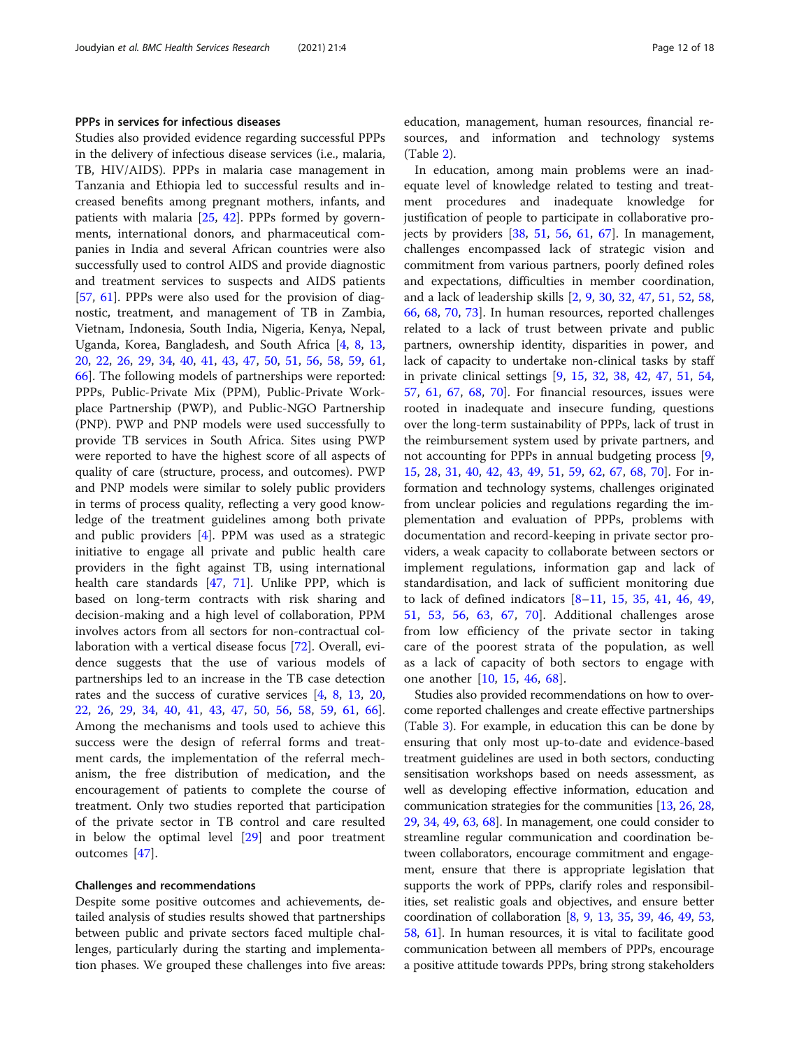#### PPPs in services for infectious diseases

Studies also provided evidence regarding successful PPPs in the delivery of infectious disease services (i.e., malaria, TB, HIV/AIDS). PPPs in malaria case management in Tanzania and Ethiopia led to successful results and increased benefits among pregnant mothers, infants, and patients with malaria [\[25](#page-15-0), [42](#page-16-0)]. PPPs formed by governments, international donors, and pharmaceutical companies in India and several African countries were also successfully used to control AIDS and provide diagnostic and treatment services to suspects and AIDS patients [[57,](#page-16-0) [61](#page-16-0)]. PPPs were also used for the provision of diagnostic, treatment, and management of TB in Zambia, Vietnam, Indonesia, South India, Nigeria, Kenya, Nepal, Uganda, Korea, Bangladesh, and South Africa [\[4](#page-15-0), [8](#page-15-0), [13](#page-15-0), [20,](#page-15-0) [22](#page-15-0), [26](#page-15-0), [29](#page-15-0), [34,](#page-16-0) [40,](#page-16-0) [41,](#page-16-0) [43](#page-16-0), [47](#page-16-0), [50](#page-16-0), [51](#page-16-0), [56,](#page-16-0) [58,](#page-16-0) [59,](#page-16-0) [61](#page-16-0), [66\]](#page-16-0). The following models of partnerships were reported: PPPs, Public-Private Mix (PPM), Public-Private Workplace Partnership (PWP), and Public-NGO Partnership (PNP). PWP and PNP models were used successfully to provide TB services in South Africa. Sites using PWP were reported to have the highest score of all aspects of quality of care (structure, process, and outcomes). PWP and PNP models were similar to solely public providers in terms of process quality, reflecting a very good knowledge of the treatment guidelines among both private and public providers [[4\]](#page-15-0). PPM was used as a strategic initiative to engage all private and public health care providers in the fight against TB, using international health care standards [\[47](#page-16-0), [71\]](#page-16-0). Unlike PPP, which is based on long-term contracts with risk sharing and decision-making and a high level of collaboration, PPM involves actors from all sectors for non-contractual collaboration with a vertical disease focus [\[72\]](#page-16-0). Overall, evidence suggests that the use of various models of partnerships led to an increase in the TB case detection rates and the success of curative services [\[4](#page-15-0), [8,](#page-15-0) [13](#page-15-0), [20](#page-15-0), [22,](#page-15-0) [26](#page-15-0), [29](#page-15-0), [34,](#page-16-0) [40,](#page-16-0) [41,](#page-16-0) [43](#page-16-0), [47](#page-16-0), [50](#page-16-0), [56,](#page-16-0) [58,](#page-16-0) [59,](#page-16-0) [61](#page-16-0), [66](#page-16-0)]. Among the mechanisms and tools used to achieve this success were the design of referral forms and treatment cards, the implementation of the referral mechanism, the free distribution of medication, and the encouragement of patients to complete the course of treatment. Only two studies reported that participation of the private sector in TB control and care resulted in below the optimal level [[29\]](#page-15-0) and poor treatment outcomes [[47\]](#page-16-0).

#### Challenges and recommendations

Despite some positive outcomes and achievements, detailed analysis of studies results showed that partnerships between public and private sectors faced multiple challenges, particularly during the starting and implementation phases. We grouped these challenges into five areas: education, management, human resources, financial resources, and information and technology systems (Table [2\)](#page-12-0).

In education, among main problems were an inadequate level of knowledge related to testing and treatment procedures and inadequate knowledge for justification of people to participate in collaborative projects by providers  $[38, 51, 56, 61, 67]$  $[38, 51, 56, 61, 67]$  $[38, 51, 56, 61, 67]$  $[38, 51, 56, 61, 67]$  $[38, 51, 56, 61, 67]$  $[38, 51, 56, 61, 67]$  $[38, 51, 56, 61, 67]$  $[38, 51, 56, 61, 67]$  $[38, 51, 56, 61, 67]$  $[38, 51, 56, 61, 67]$  $[38, 51, 56, 61, 67]$ . In management, challenges encompassed lack of strategic vision and commitment from various partners, poorly defined roles and expectations, difficulties in member coordination, and a lack of leadership skills [\[2](#page-15-0), [9](#page-15-0), [30](#page-15-0), [32](#page-16-0), [47](#page-16-0), [51](#page-16-0), [52](#page-16-0), [58](#page-16-0), [66,](#page-16-0) [68](#page-16-0), [70](#page-16-0), [73\]](#page-16-0). In human resources, reported challenges related to a lack of trust between private and public partners, ownership identity, disparities in power, and lack of capacity to undertake non-clinical tasks by staff in private clinical settings [[9,](#page-15-0) [15,](#page-15-0) [32,](#page-16-0) [38,](#page-16-0) [42](#page-16-0), [47](#page-16-0), [51](#page-16-0), [54](#page-16-0), [57,](#page-16-0) [61,](#page-16-0) [67](#page-16-0), [68](#page-16-0), [70\]](#page-16-0). For financial resources, issues were rooted in inadequate and insecure funding, questions over the long-term sustainability of PPPs, lack of trust in the reimbursement system used by private partners, and not accounting for PPPs in annual budgeting process [\[9](#page-15-0), [15,](#page-15-0) [28](#page-15-0), [31,](#page-16-0) [40](#page-16-0), [42,](#page-16-0) [43](#page-16-0), [49,](#page-16-0) [51](#page-16-0), [59,](#page-16-0) [62](#page-16-0), [67,](#page-16-0) [68](#page-16-0), [70\]](#page-16-0). For information and technology systems, challenges originated from unclear policies and regulations regarding the implementation and evaluation of PPPs, problems with documentation and record-keeping in private sector providers, a weak capacity to collaborate between sectors or implement regulations, information gap and lack of standardisation, and lack of sufficient monitoring due to lack of defined indicators [[8](#page-15-0)–[11,](#page-15-0) [15](#page-15-0), [35](#page-16-0), [41,](#page-16-0) [46](#page-16-0), [49](#page-16-0), [51,](#page-16-0) [53](#page-16-0), [56](#page-16-0), [63,](#page-16-0) [67,](#page-16-0) [70](#page-16-0)]. Additional challenges arose from low efficiency of the private sector in taking care of the poorest strata of the population, as well as a lack of capacity of both sectors to engage with one another [\[10](#page-15-0), [15](#page-15-0), [46](#page-16-0), [68\]](#page-16-0).

Studies also provided recommendations on how to overcome reported challenges and create effective partnerships (Table [3\)](#page-13-0). For example, in education this can be done by ensuring that only most up-to-date and evidence-based treatment guidelines are used in both sectors, conducting sensitisation workshops based on needs assessment, as well as developing effective information, education and communication strategies for the communities [[13,](#page-15-0) [26,](#page-15-0) [28](#page-15-0), [29](#page-15-0), [34](#page-16-0), [49,](#page-16-0) [63,](#page-16-0) [68\]](#page-16-0). In management, one could consider to streamline regular communication and coordination between collaborators, encourage commitment and engagement, ensure that there is appropriate legislation that supports the work of PPPs, clarify roles and responsibilities, set realistic goals and objectives, and ensure better coordination of collaboration [[8,](#page-15-0) [9,](#page-15-0) [13](#page-15-0), [35](#page-16-0), [39,](#page-16-0) [46,](#page-16-0) [49](#page-16-0), [53](#page-16-0), [58](#page-16-0), [61](#page-16-0)]. In human resources, it is vital to facilitate good communication between all members of PPPs, encourage a positive attitude towards PPPs, bring strong stakeholders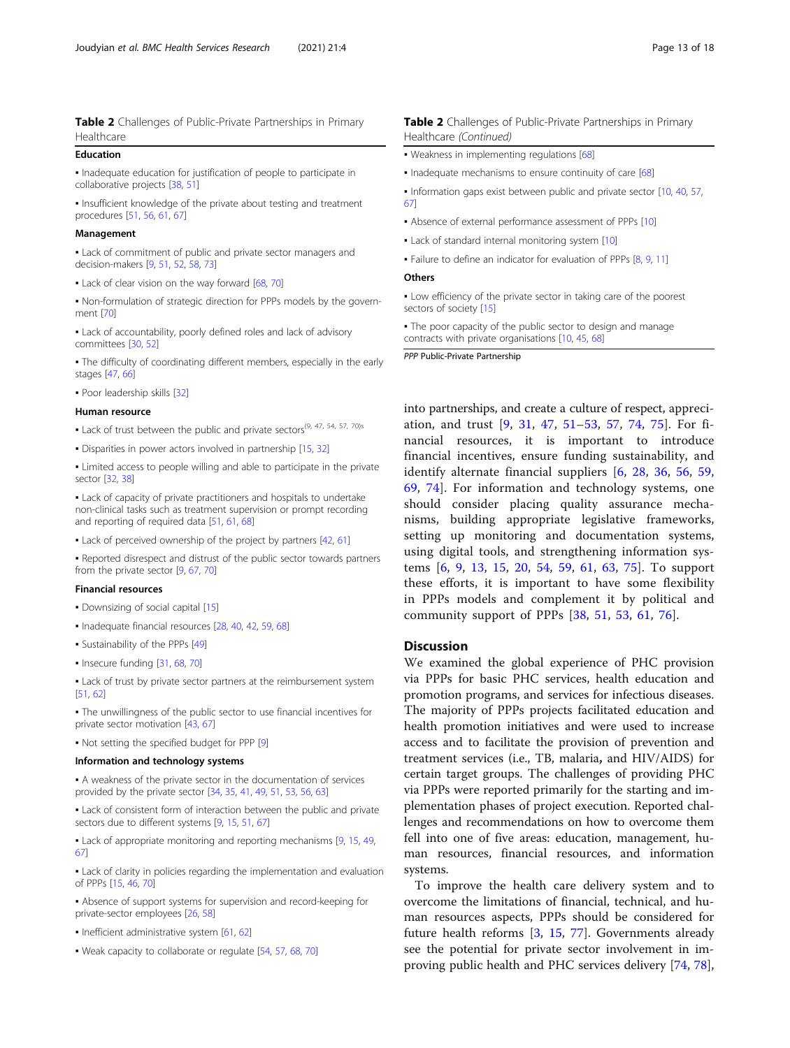#### <span id="page-12-0"></span>Education

▪ Inadequate education for justification of people to participate in collaborative projects [\[38,](#page-16-0) [51](#page-16-0)]

• Insufficient knowledge of the private about testing and treatment procedures [[51,](#page-16-0) [56,](#page-16-0) [61](#page-16-0), [67\]](#page-16-0)

#### Management

**.** Lack of commitment of public and private sector managers and decision-makers [\[9](#page-15-0), [51](#page-16-0), [52,](#page-16-0) [58](#page-16-0), [73\]](#page-16-0)

- Lack of clear vision on the way forward [[68](#page-16-0), [70\]](#page-16-0)
- Non-formulation of strategic direction for PPPs models by the government [\[70\]](#page-16-0)
- Lack of accountability, poorly defined roles and lack of advisory committees [[30,](#page-15-0) [52\]](#page-16-0)
- The difficulty of coordinating different members, especially in the early stages [\[47,](#page-16-0) [66](#page-16-0)]
- Poor leadership skills [[32](#page-16-0)]

#### Human resource

- Lack of trust between the public and private sectors<sup>(9, 47, 54, 57, 70)s</sup>
- Disparities in power actors involved in partnership [[15](#page-15-0), [32\]](#page-16-0)
- Limited access to people willing and able to participate in the private sector [\[32,](#page-16-0) [38](#page-16-0)]

▪ Lack of capacity of private practitioners and hospitals to undertake non-clinical tasks such as treatment supervision or prompt recording and reporting of required data [\[51](#page-16-0), [61,](#page-16-0) [68\]](#page-16-0)

• Lack of perceived ownership of the project by partners [\[42,](#page-16-0) [61](#page-16-0)]

▪ Reported disrespect and distrust of the public sector towards partners from the private sector [[9,](#page-15-0) [67](#page-16-0), [70](#page-16-0)]

#### Financial resources

▪ Downsizing of social capital [\[15\]](#page-15-0)

- Inadequate financial resources [\[28,](#page-15-0) [40](#page-16-0), [42,](#page-16-0) [59,](#page-16-0) [68](#page-16-0)]
- Sustainability of the PPPs [[49](#page-16-0)]
- Insecure funding [\[31,](#page-16-0) [68](#page-16-0), [70\]](#page-16-0)

• Lack of trust by private sector partners at the reimbursement system [[51](#page-16-0), [62\]](#page-16-0)

▪ The unwillingness of the public sector to use financial incentives for private sector motivation [\[43,](#page-16-0) [67](#page-16-0)]

▪ Not setting the specified budget for PPP [[9\]](#page-15-0)

#### Information and technology systems

▪ A weakness of the private sector in the documentation of services provided by the private sector [[34](#page-16-0), [35,](#page-16-0) [41,](#page-16-0) [49](#page-16-0), [51,](#page-16-0) [53,](#page-16-0) [56](#page-16-0), [63\]](#page-16-0)

**.** Lack of consistent form of interaction between the public and private sectors due to different systems [[9](#page-15-0), [15,](#page-15-0) [51](#page-16-0), [67](#page-16-0)]

• Lack of appropriate monitoring and reporting mechanisms [\[9](#page-15-0), [15](#page-15-0), [49,](#page-16-0) [67](#page-16-0)]

▪ Lack of clarity in policies regarding the implementation and evaluation of PPPs [[15](#page-15-0), [46,](#page-16-0) [70](#page-16-0)]

▪ Absence of support systems for supervision and record-keeping for private-sector employees [\[26,](#page-15-0) [58](#page-16-0)]

- Inefficient administrative system [[61,](#page-16-0) [62\]](#page-16-0)
- Weak capacity to collaborate or regulate [\[54,](#page-16-0) [57](#page-16-0), [68](#page-16-0), [70\]](#page-16-0)

#### Table 2 Challenges of Public-Private Partnerships in Primary Healthcare (Continued)

- . Weakness in implementing regulations [[68\]](#page-16-0)
- . Inadequate mechanisms to ensure continuity of care [[68](#page-16-0)]
- Information gaps exist between public and private sector [\[10,](#page-15-0) [40](#page-16-0), [57,](#page-16-0) [67](#page-16-0)]
- Absence of external performance assessment of PPPs [\[10](#page-15-0)]
- Lack of standard internal monitoring system [\[10\]](#page-15-0)
- Failure to define an indicator for evaluation of PPPs [\[8](#page-15-0), [9,](#page-15-0) [11](#page-15-0)]

#### **Others**

▪ Low efficiency of the private sector in taking care of the poorest sectors of society [\[15](#page-15-0)]

• The poor capacity of the public sector to design and manage contracts with private organisations [\[10](#page-15-0), [45](#page-16-0), [68\]](#page-16-0)

PPP Public-Private Partnership

into partnerships, and create a culture of respect, appreciation, and trust [[9,](#page-15-0) [31](#page-16-0), [47,](#page-16-0) [51](#page-16-0)–[53,](#page-16-0) [57](#page-16-0), [74](#page-16-0), [75\]](#page-16-0). For financial resources, it is important to introduce financial incentives, ensure funding sustainability, and identify alternate financial suppliers [\[6](#page-15-0), [28,](#page-15-0) [36](#page-16-0), [56,](#page-16-0) [59](#page-16-0), [69,](#page-16-0) [74\]](#page-16-0). For information and technology systems, one should consider placing quality assurance mechanisms, building appropriate legislative frameworks, setting up monitoring and documentation systems, using digital tools, and strengthening information systems [\[6](#page-15-0), [9,](#page-15-0) [13](#page-15-0), [15,](#page-15-0) [20](#page-15-0), [54,](#page-16-0) [59](#page-16-0), [61,](#page-16-0) [63](#page-16-0), [75\]](#page-16-0). To support these efforts, it is important to have some flexibility in PPPs models and complement it by political and community support of PPPs [\[38](#page-16-0), [51](#page-16-0), [53,](#page-16-0) [61,](#page-16-0) [76\]](#page-17-0).

#### **Discussion**

We examined the global experience of PHC provision via PPPs for basic PHC services, health education and promotion programs, and services for infectious diseases. The majority of PPPs projects facilitated education and health promotion initiatives and were used to increase access and to facilitate the provision of prevention and treatment services (i.e., TB, malaria, and HIV/AIDS) for certain target groups. The challenges of providing PHC via PPPs were reported primarily for the starting and implementation phases of project execution. Reported challenges and recommendations on how to overcome them fell into one of five areas: education, management, human resources, financial resources, and information systems.

To improve the health care delivery system and to overcome the limitations of financial, technical, and human resources aspects, PPPs should be considered for future health reforms [[3,](#page-15-0) [15,](#page-15-0) [77](#page-17-0)]. Governments already see the potential for private sector involvement in improving public health and PHC services delivery [\[74](#page-16-0), [78](#page-17-0)],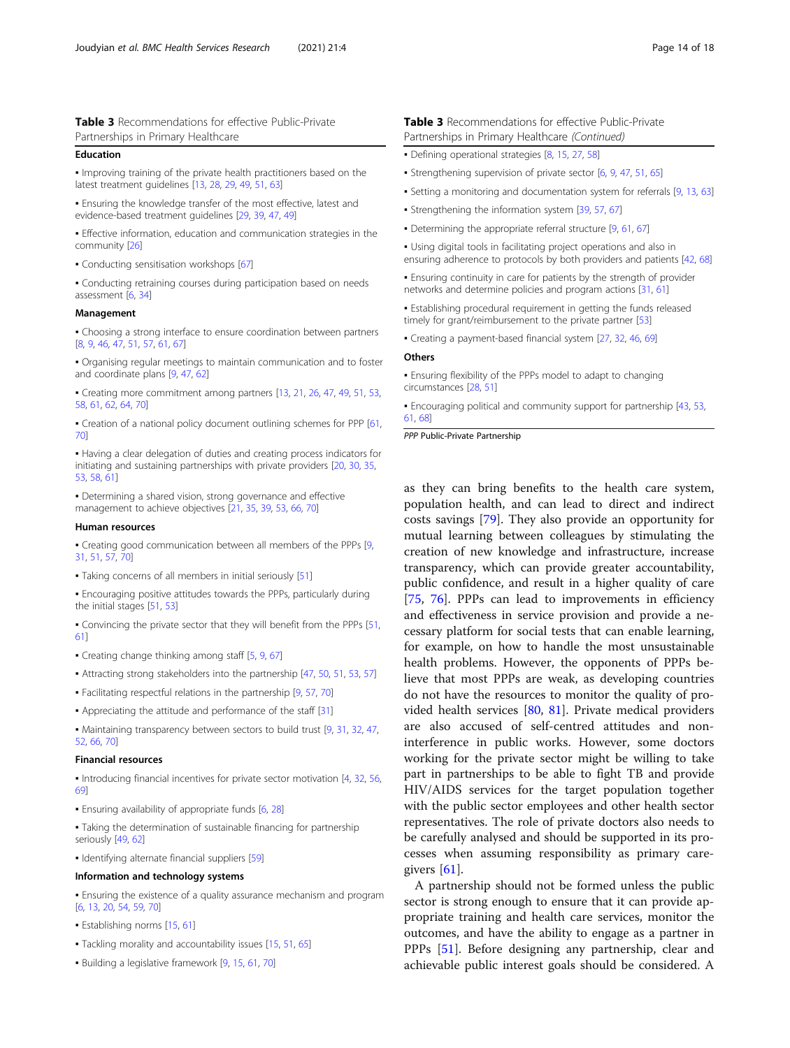<span id="page-13-0"></span>Table 3 Recommendations for effective Public-Private Partnerships in Primary Healthcare

#### Education

▪ Improving training of the private health practitioners based on the latest treatment guidelines [[13](#page-15-0), [28,](#page-15-0) [29](#page-15-0), [49,](#page-16-0) [51,](#page-16-0) [63](#page-16-0)]

▪ Ensuring the knowledge transfer of the most effective, latest and evidence-based treatment guidelines [\[29,](#page-15-0) [39](#page-16-0), [47](#page-16-0), [49\]](#page-16-0)

**•** Effective information, education and communication strategies in the community [[26](#page-15-0)]

• Conducting sensitisation workshops [[67](#page-16-0)]

▪ Conducting retraining courses during participation based on needs assessment [\[6,](#page-15-0) [34](#page-16-0)]

#### Management

• Choosing a strong interface to ensure coordination between partners [[8,](#page-15-0) [9](#page-15-0), [46,](#page-16-0) [47,](#page-16-0) [51](#page-16-0), [57,](#page-16-0) [61,](#page-16-0) [67](#page-16-0)]

▪ Organising regular meetings to maintain communication and to foster and coordinate plans [\[9,](#page-15-0) [47](#page-16-0), [62\]](#page-16-0)

▪ Creating more commitment among partners [\[13,](#page-15-0) [21](#page-15-0), [26](#page-15-0), [47,](#page-16-0) [49](#page-16-0), [51,](#page-16-0) [53,](#page-16-0) [58](#page-16-0), [61,](#page-16-0) [62](#page-16-0), [64](#page-16-0), [70\]](#page-16-0)

▪ Creation of a national policy document outlining schemes for PPP [[61,](#page-16-0) [70](#page-16-0)]

▪ Having a clear delegation of duties and creating process indicators for initiating and sustaining partnerships with private providers [[20](#page-15-0), [30,](#page-15-0) [35](#page-16-0), [53](#page-16-0), [58,](#page-16-0) [61](#page-16-0)]

• Determining a shared vision, strong governance and effective management to achieve objectives [\[21,](#page-15-0) [35](#page-16-0), [39](#page-16-0), [53,](#page-16-0) [66](#page-16-0), [70\]](#page-16-0)

#### Human resources

▪ Creating good communication between all members of the PPPs [[9](#page-15-0), [31](#page-16-0), [51,](#page-16-0) [57](#page-16-0), [70](#page-16-0)]

▪ Taking concerns of all members in initial seriously [[51\]](#page-16-0)

**Encouraging positive attitudes towards the PPPs, particularly during** the initial stages [\[51,](#page-16-0) [53](#page-16-0)]

▪ Convincing the private sector that they will benefit from the PPPs [[51,](#page-16-0) [61](#page-16-0)]

• Creating change thinking among staff [\[5](#page-15-0), [9,](#page-15-0) [67](#page-16-0)]

- Attracting strong stakeholders into the partnership [[47,](#page-16-0) [50,](#page-16-0) [51](#page-16-0), [53,](#page-16-0) [57](#page-16-0)]
- Facilitating respectful relations in the partnership [[9,](#page-15-0) [57](#page-16-0), [70\]](#page-16-0)
- Appreciating the attitude and performance of the staff [[31](#page-16-0)]

▪ Maintaining transparency between sectors to build trust [\[9](#page-15-0), [31,](#page-16-0) [32,](#page-16-0) [47](#page-16-0), [52](#page-16-0), [66,](#page-16-0) [70](#page-16-0)]

#### Financial resources

▪ Introducing financial incentives for private sector motivation [[4,](#page-15-0) [32,](#page-16-0) [56](#page-16-0), [69](#page-16-0)]

▪ Ensuring availability of appropriate funds [\[6,](#page-15-0) [28](#page-15-0)]

• Taking the determination of sustainable financing for partnership seriously [\[49,](#page-16-0) [62](#page-16-0)]

▪ Identifying alternate financial suppliers [\[59](#page-16-0)]

#### Information and technology systems

**Ensuring the existence of a quality assurance mechanism and program** [[6,](#page-15-0) [13,](#page-15-0) [20](#page-15-0), [54,](#page-16-0) [59](#page-16-0), [70](#page-16-0)]

- Establishing norms [\[15](#page-15-0), [61](#page-16-0)]
- Tackling morality and accountability issues [[15](#page-15-0), [51](#page-16-0), [65\]](#page-16-0)
- Building a legislative framework [\[9,](#page-15-0) [15](#page-15-0), [61,](#page-16-0) [70\]](#page-16-0)

#### Table 3 Recommendations for effective Public-Private Partnerships in Primary Healthcare (Continued)

- Defining operational strategies [\[8](#page-15-0), [15,](#page-15-0) [27](#page-15-0), [58](#page-16-0)]
- Strengthening supervision of private sector [[6](#page-15-0), [9,](#page-15-0) [47](#page-16-0), [51,](#page-16-0) [65](#page-16-0)]
- Setting a monitoring and documentation system for referrals [[9,](#page-15-0) [13](#page-15-0), [63](#page-16-0)]
- Strengthening the information system [[39](#page-16-0), [57,](#page-16-0) [67](#page-16-0)]
- Determining the appropriate referral structure [\[9](#page-15-0), [61,](#page-16-0) [67\]](#page-16-0)
- Using digital tools in facilitating project operations and also in ensuring adherence to protocols by both providers and patients [\[42,](#page-16-0) [68](#page-16-0)]

**Ensuring continuity in care for patients by the strength of provider** networks and determine policies and program actions [[31](#page-16-0), [61\]](#page-16-0)

**• Establishing procedural requirement in getting the funds released** timely for grant/reimbursement to the private partner [[53\]](#page-16-0)

▪ Creating a payment-based financial system [\[27,](#page-15-0) [32](#page-16-0), [46,](#page-16-0) [69\]](#page-16-0)

#### **Others**

▪ Ensuring flexibility of the PPPs model to adapt to changing circumstances [\[28,](#page-15-0) [51](#page-16-0)]

▪ Encouraging political and community support for partnership [[43](#page-16-0), [53,](#page-16-0) [61](#page-16-0), [68\]](#page-16-0)

PPP Public-Private Partnership

as they can bring benefits to the health care system, population health, and can lead to direct and indirect costs savings [[79](#page-17-0)]. They also provide an opportunity for mutual learning between colleagues by stimulating the creation of new knowledge and infrastructure, increase transparency, which can provide greater accountability, public confidence, and result in a higher quality of care [[75,](#page-16-0) [76\]](#page-17-0). PPPs can lead to improvements in efficiency and effectiveness in service provision and provide a necessary platform for social tests that can enable learning, for example, on how to handle the most unsustainable health problems. However, the opponents of PPPs believe that most PPPs are weak, as developing countries do not have the resources to monitor the quality of provided health services [[80,](#page-17-0) [81\]](#page-17-0). Private medical providers are also accused of self-centred attitudes and noninterference in public works. However, some doctors working for the private sector might be willing to take part in partnerships to be able to fight TB and provide HIV/AIDS services for the target population together with the public sector employees and other health sector representatives. The role of private doctors also needs to be carefully analysed and should be supported in its processes when assuming responsibility as primary caregivers [\[61](#page-16-0)].

A partnership should not be formed unless the public sector is strong enough to ensure that it can provide appropriate training and health care services, monitor the outcomes, and have the ability to engage as a partner in PPPs [[51\]](#page-16-0). Before designing any partnership, clear and achievable public interest goals should be considered. A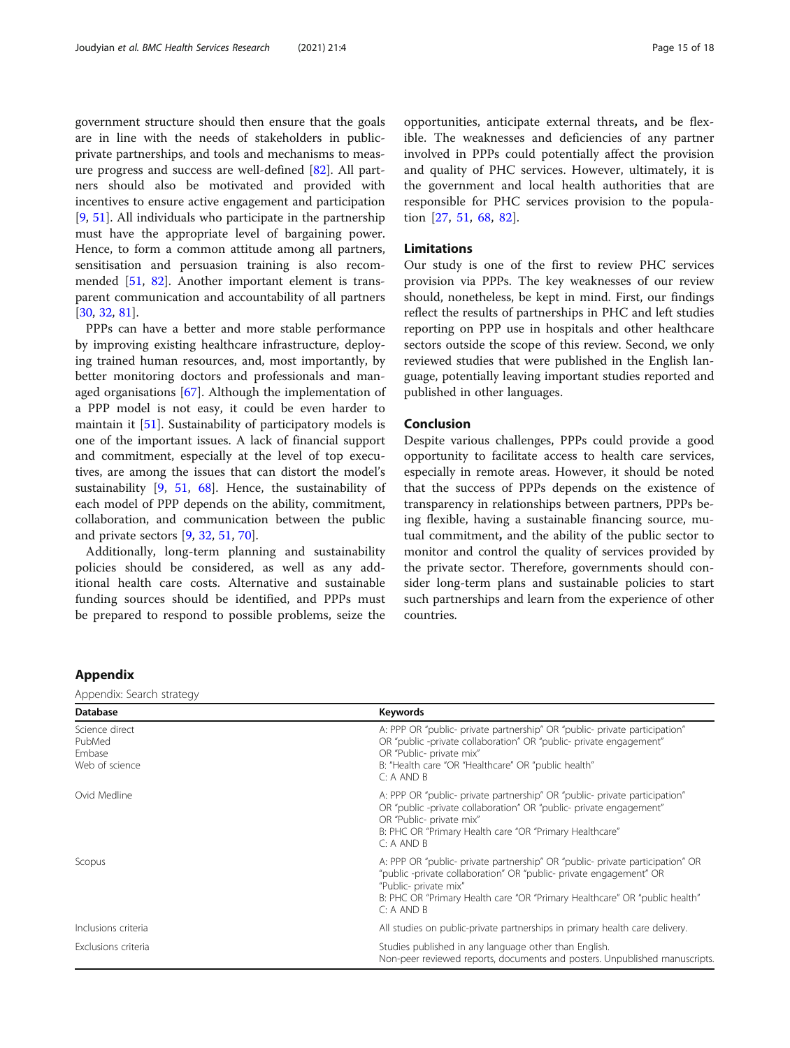<span id="page-14-0"></span>government structure should then ensure that the goals are in line with the needs of stakeholders in publicprivate partnerships, and tools and mechanisms to measure progress and success are well-defined [\[82](#page-17-0)]. All partners should also be motivated and provided with incentives to ensure active engagement and participation [[9,](#page-15-0) [51\]](#page-16-0). All individuals who participate in the partnership must have the appropriate level of bargaining power. Hence, to form a common attitude among all partners, sensitisation and persuasion training is also recommended [\[51](#page-16-0), [82\]](#page-17-0). Another important element is transparent communication and accountability of all partners [[30,](#page-15-0) [32,](#page-16-0) [81](#page-17-0)].

PPPs can have a better and more stable performance by improving existing healthcare infrastructure, deploying trained human resources, and, most importantly, by better monitoring doctors and professionals and managed organisations [[67\]](#page-16-0). Although the implementation of a PPP model is not easy, it could be even harder to maintain it [[51](#page-16-0)]. Sustainability of participatory models is one of the important issues. A lack of financial support and commitment, especially at the level of top executives, are among the issues that can distort the model's sustainability [[9,](#page-15-0) [51,](#page-16-0) [68](#page-16-0)]. Hence, the sustainability of each model of PPP depends on the ability, commitment, collaboration, and communication between the public and private sectors [[9,](#page-15-0) [32,](#page-16-0) [51,](#page-16-0) [70\]](#page-16-0).

Additionally, long-term planning and sustainability policies should be considered, as well as any additional health care costs. Alternative and sustainable funding sources should be identified, and PPPs must be prepared to respond to possible problems, seize the opportunities, anticipate external threats, and be flexible. The weaknesses and deficiencies of any partner involved in PPPs could potentially affect the provision and quality of PHC services. However, ultimately, it is the government and local health authorities that are responsible for PHC services provision to the population [\[27](#page-15-0), [51](#page-16-0), [68](#page-16-0), [82](#page-17-0)].

#### Limitations

Our study is one of the first to review PHC services provision via PPPs. The key weaknesses of our review should, nonetheless, be kept in mind. First, our findings reflect the results of partnerships in PHC and left studies reporting on PPP use in hospitals and other healthcare sectors outside the scope of this review. Second, we only reviewed studies that were published in the English language, potentially leaving important studies reported and published in other languages.

#### Conclusion

Despite various challenges, PPPs could provide a good opportunity to facilitate access to health care services, especially in remote areas. However, it should be noted that the success of PPPs depends on the existence of transparency in relationships between partners, PPPs being flexible, having a sustainable financing source, mutual commitment, and the ability of the public sector to monitor and control the quality of services provided by the private sector. Therefore, governments should consider long-term plans and sustainable policies to start such partnerships and learn from the experience of other countries.

### Appendix

Appendix: Search strategy

| <b>Database</b>                                      | Keywords                                                                                                                                                                                                                                                                 |
|------------------------------------------------------|--------------------------------------------------------------------------------------------------------------------------------------------------------------------------------------------------------------------------------------------------------------------------|
| Science direct<br>PubMed<br>Embase<br>Web of science | A: PPP OR "public- private partnership" OR "public- private participation"<br>OR "public -private collaboration" OR "public- private engagement"<br>OR "Public- private mix"<br>B: "Health care "OR "Healthcare" OR "public health"<br>C: A AND B                        |
| Ovid Medline                                         | A: PPP OR "public- private partnership" OR "public- private participation"<br>OR "public -private collaboration" OR "public- private engagement"<br>OR "Public- private mix"<br>B: PHC OR "Primary Health care "OR "Primary Healthcare"<br>C: A AND B                    |
| Scopus                                               | A: PPP OR "public- private partnership" OR "public- private participation" OR<br>"public -private collaboration" OR "public- private engagement" OR<br>"Public- private mix"<br>B: PHC OR "Primary Health care "OR "Primary Healthcare" OR "public health"<br>C: A AND B |
| Inclusions criteria                                  | All studies on public-private partnerships in primary health care delivery.                                                                                                                                                                                              |
| Exclusions criteria                                  | Studies published in any language other than English.<br>Non-peer reviewed reports, documents and posters. Unpublished manuscripts.                                                                                                                                      |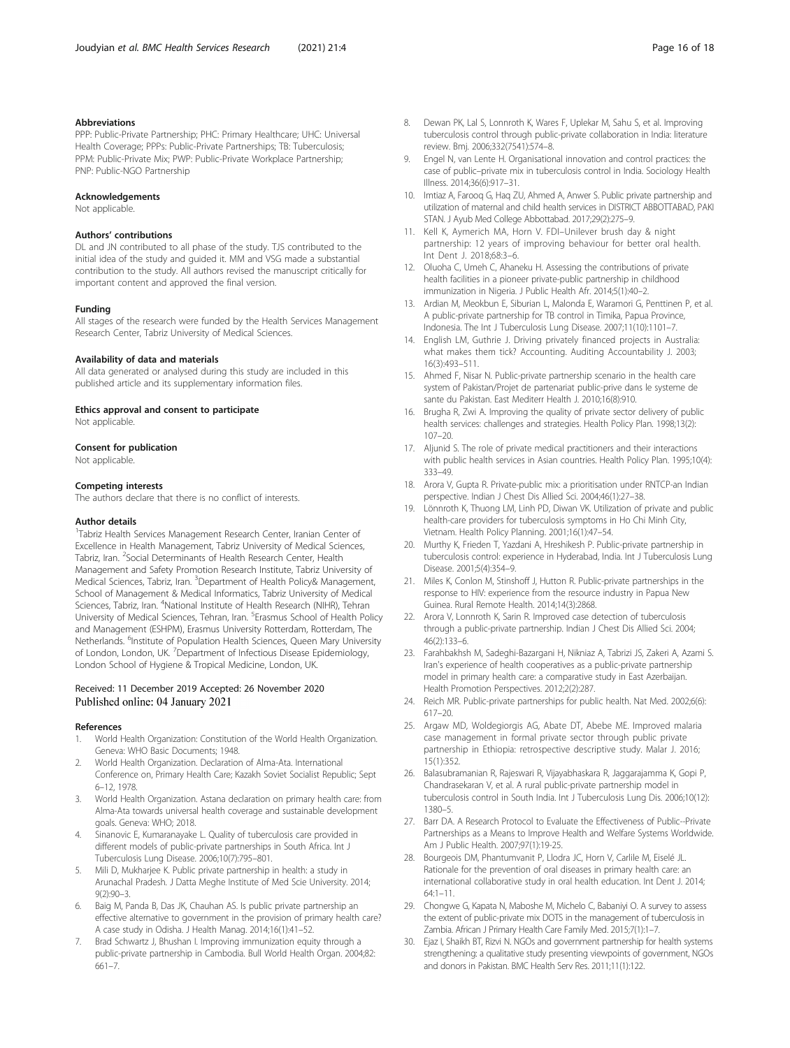#### <span id="page-15-0"></span>Abbreviations

PPP: Public-Private Partnership; PHC: Primary Healthcare; UHC: Universal Health Coverage; PPPs: Public-Private Partnerships; TB: Tuberculosis; PPM: Public-Private Mix; PWP: Public-Private Workplace Partnership; PNP: Public-NGO Partnership

#### Acknowledgements

Not applicable.

#### Authors' contributions

DL and JN contributed to all phase of the study. TJS contributed to the initial idea of the study and guided it. MM and VSG made a substantial contribution to the study. All authors revised the manuscript critically for important content and approved the final version.

#### Funding

All stages of the research were funded by the Health Services Management Research Center, Tabriz University of Medical Sciences.

#### Availability of data and materials

All data generated or analysed during this study are included in this published article and its supplementary information files.

#### Ethics approval and consent to participate

Not applicable.

#### Consent for publication

Not applicable.

#### Competing interests

The authors declare that there is no conflict of interests.

#### Author details

<sup>1</sup>Tabriz Health Services Management Research Center, Iranian Center of Excellence in Health Management, Tabriz University of Medical Sciences, Tabriz, Iran. <sup>2</sup>Social Determinants of Health Research Center, Health Management and Safety Promotion Research Institute, Tabriz University of Medical Sciences, Tabriz, Iran. <sup>3</sup>Department of Health Policy& Management, School of Management & Medical Informatics, Tabriz University of Medical Sciences, Tabriz, Iran. <sup>4</sup>National Institute of Health Research (NIHR), Tehran University of Medical Sciences, Tehran, Iran. <sup>5</sup>Erasmus School of Health Policy and Management (ESHPM), Erasmus University Rotterdam, Rotterdam, The Netherlands. <sup>6</sup>Institute of Population Health Sciences, Queen Mary University of London, London, UK. <sup>7</sup>Department of Infectious Disease Epidemiology, London School of Hygiene & Tropical Medicine, London, UK.

#### Received: 11 December 2019 Accepted: 26 November 2020 Published online: 04 January 2021

#### References

- World Health Organization: Constitution of the World Health Organization. Geneva: WHO Basic Documents; 1948.
- 2. World Health Organization. Declaration of Alma-Ata. International Conference on, Primary Health Care; Kazakh Soviet Socialist Republic; Sept 6–12, 1978.
- 3. World Health Organization. Astana declaration on primary health care: from Alma-Ata towards universal health coverage and sustainable development goals. Geneva: WHO; 2018.
- 4. Sinanovic E, Kumaranayake L. Quality of tuberculosis care provided in different models of public-private partnerships in South Africa. Int J Tuberculosis Lung Disease. 2006;10(7):795–801.
- 5. Mili D, Mukharjee K. Public private partnership in health: a study in Arunachal Pradesh. J Datta Meghe Institute of Med Scie University. 2014; 9(2):90–3.
- 6. Baig M, Panda B, Das JK, Chauhan AS. Is public private partnership an effective alternative to government in the provision of primary health care? A case study in Odisha. J Health Manag. 2014;16(1):41–52.
- 7. Brad Schwartz J, Bhushan I. Improving immunization equity through a public-private partnership in Cambodia. Bull World Health Organ. 2004;82: 661–7.
- 8. Dewan PK, Lal S, Lonnroth K, Wares F, Uplekar M, Sahu S, et al. Improving tuberculosis control through public-private collaboration in India: literature review. Bmj. 2006;332(7541):574–8.
- 9. Engel N, van Lente H. Organisational innovation and control practices: the case of public–private mix in tuberculosis control in India. Sociology Health Illness. 2014;36(6):917–31.
- 10. Imtiaz A, Farooq G, Haq ZU, Ahmed A, Anwer S. Public private partnership and utilization of maternal and child health services in DISTRICT ABBOTTABAD, PAKI STAN. J Ayub Med College Abbottabad. 2017;29(2):275–9.
- 11. Kell K, Aymerich MA, Horn V. FDI–Unilever brush day & night partnership: 12 years of improving behaviour for better oral health. Int Dent J. 2018;68:3–6.
- 12. Oluoha C, Umeh C, Ahaneku H. Assessing the contributions of private health facilities in a pioneer private-public partnership in childhood immunization in Nigeria. J Public Health Afr. 2014;5(1):40–2.
- 13. Ardian M, Meokbun E, Siburian L, Malonda E, Waramori G, Penttinen P, et al. A public-private partnership for TB control in Timika, Papua Province, Indonesia. The Int J Tuberculosis Lung Disease. 2007;11(10):1101–7.
- 14. English LM, Guthrie J. Driving privately financed projects in Australia: what makes them tick? Accounting. Auditing Accountability J. 2003; 16(3):493–511.
- 15. Ahmed F, Nisar N. Public-private partnership scenario in the health care system of Pakistan/Projet de partenariat public-prive dans le systeme de sante du Pakistan. East Mediterr Health J. 2010;16(8):910.
- 16. Brugha R, Zwi A. Improving the quality of private sector delivery of public health services: challenges and strategies. Health Policy Plan. 1998;13(2): 107–20.
- 17. Aljunid S. The role of private medical practitioners and their interactions with public health services in Asian countries. Health Policy Plan. 1995;10(4): 333–49.
- 18. Arora V, Gupta R. Private-public mix: a prioritisation under RNTCP-an Indian perspective. Indian J Chest Dis Allied Sci. 2004;46(1):27–38.
- 19. Lönnroth K, Thuong LM, Linh PD, Diwan VK. Utilization of private and public health-care providers for tuberculosis symptoms in Ho Chi Minh City, Vietnam. Health Policy Planning. 2001;16(1):47–54.
- 20. Murthy K, Frieden T, Yazdani A, Hreshikesh P. Public-private partnership in tuberculosis control: experience in Hyderabad, India. Int J Tuberculosis Lung Disease. 2001;5(4):354–9.
- 21. Miles K, Conlon M, Stinshoff J, Hutton R. Public-private partnerships in the response to HIV: experience from the resource industry in Papua New Guinea. Rural Remote Health. 2014;14(3):2868.
- 22. Arora V, Lonnroth K, Sarin R. Improved case detection of tuberculosis through a public-private partnership. Indian J Chest Dis Allied Sci. 2004; 46(2):133–6.
- 23. Farahbakhsh M, Sadeghi-Bazargani H, Nikniaz A, Tabrizi JS, Zakeri A, Azami S. Iran's experience of health cooperatives as a public-private partnership model in primary health care: a comparative study in East Azerbaijan. Health Promotion Perspectives. 2012;2(2):287.
- 24. Reich MR. Public-private partnerships for public health. Nat Med. 2002;6(6): 617–20.
- 25. Argaw MD, Woldegiorgis AG, Abate DT, Abebe ME. Improved malaria case management in formal private sector through public private partnership in Ethiopia: retrospective descriptive study. Malar J. 2016; 15(1):352.
- 26. Balasubramanian R, Rajeswari R, Vijayabhaskara R, Jaggarajamma K, Gopi P, Chandrasekaran V, et al. A rural public-private partnership model in tuberculosis control in South India. Int J Tuberculosis Lung Dis. 2006;10(12): 1380–5.
- 27. Barr DA. A Research Protocol to Evaluate the Effectiveness of Public--Private Partnerships as a Means to Improve Health and Welfare Systems Worldwide. Am J Public Health. 2007;97(1):19-25.
- 28. Bourgeois DM, Phantumvanit P, Llodra JC, Horn V, Carlile M, Eiselé JL. Rationale for the prevention of oral diseases in primary health care: an international collaborative study in oral health education. Int Dent J. 2014; 64:1–11.
- 29. Chongwe G, Kapata N, Maboshe M, Michelo C, Babaniyi O. A survey to assess the extent of public-private mix DOTS in the management of tuberculosis in Zambia. African J Primary Health Care Family Med. 2015;7(1):1–7.
- 30. Ejaz I, Shaikh BT, Rizvi N. NGOs and government partnership for health systems strengthening: a qualitative study presenting viewpoints of government, NGOs and donors in Pakistan. BMC Health Serv Res. 2011;11(1):122.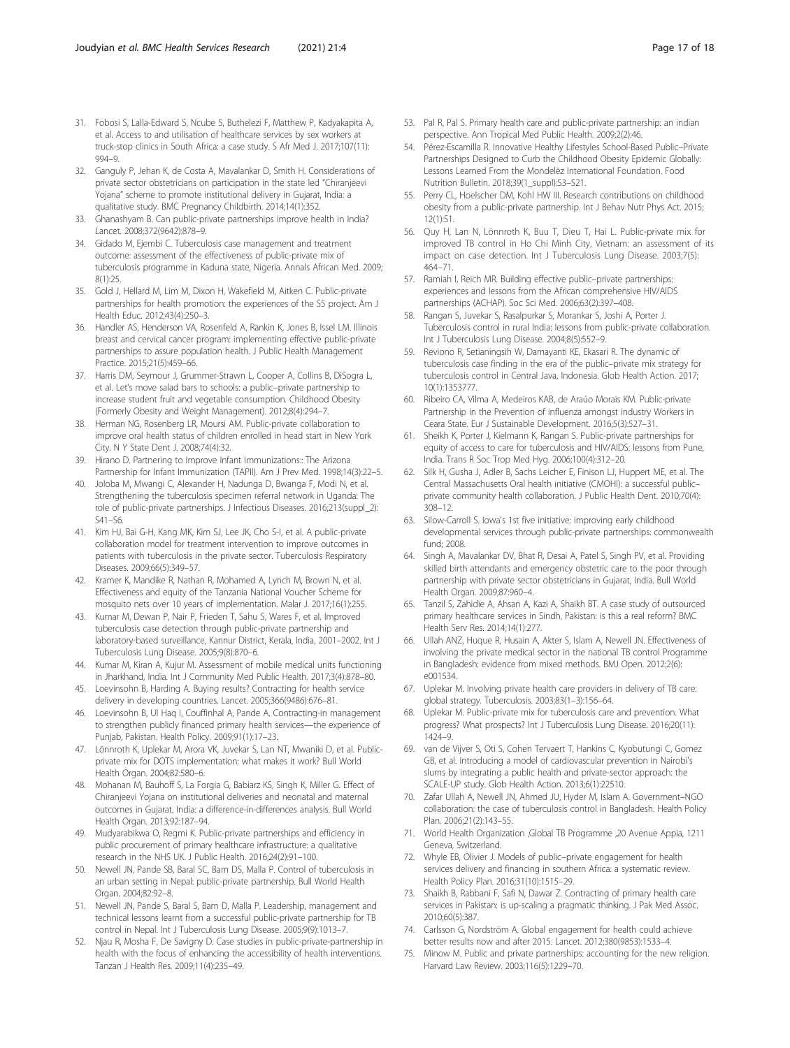- <span id="page-16-0"></span>31. Fobosi S, Lalla-Edward S, Ncube S, Buthelezi F, Matthew P, Kadyakapita A, et al. Access to and utilisation of healthcare services by sex workers at truck-stop clinics in South Africa: a case study. S Afr Med J. 2017;107(11): 994–9.
- 32. Ganguly P, Jehan K, de Costa A, Mavalankar D, Smith H. Considerations of private sector obstetricians on participation in the state led "Chiranjeevi Yojana" scheme to promote institutional delivery in Gujarat, India: a qualitative study. BMC Pregnancy Childbirth. 2014;14(1):352.
- 33. Ghanashyam B. Can public-private partnerships improve health in India? Lancet. 2008;372(9642):878–9.
- 34. Gidado M, Ejembi C. Tuberculosis case management and treatment outcome: assessment of the effectiveness of public-private mix of tuberculosis programme in Kaduna state, Nigeria. Annals African Med. 2009; 8(1):25.
- 35. Gold J, Hellard M, Lim M, Dixon H, Wakefield M, Aitken C. Public-private partnerships for health promotion: the experiences of the S5 project. Am J Health Educ. 2012;43(4):250–3.
- 36. Handler AS, Henderson VA, Rosenfeld A, Rankin K, Jones B, Issel LM. Illinois breast and cervical cancer program: implementing effective public-private partnerships to assure population health. J Public Health Management Practice. 2015;21(5):459–66.
- 37. Harris DM, Seymour J, Grummer-Strawn L, Cooper A, Collins B, DiSogra L, et al. Let's move salad bars to schools: a public–private partnership to increase student fruit and vegetable consumption. Childhood Obesity (Formerly Obesity and Weight Management). 2012;8(4):294–7.
- 38. Herman NG, Rosenberg LR, Moursi AM. Public-private collaboration to improve oral health status of children enrolled in head start in New York City. N Y State Dent J. 2008;74(4):32.
- 39. Hirano D. Partnering to Improve Infant Immunizations:: The Arizona Partnership for Infant Immunization (TAPII). Am J Prev Med. 1998;14(3):22–5.
- 40. Joloba M, Mwangi C, Alexander H, Nadunga D, Bwanga F, Modi N, et al. Strengthening the tuberculosis specimen referral network in Uganda: The role of public-private partnerships. J Infectious Diseases. 2016;213(suppl\_2): S41–S6.
- 41. Kim HJ, Bai G-H, Kang MK, Kim SJ, Lee JK, Cho S-I, et al. A public-private collaboration model for treatment intervention to improve outcomes in patients with tuberculosis in the private sector. Tuberculosis Respiratory Diseases. 2009;66(5):349–57.
- 42. Kramer K, Mandike R, Nathan R, Mohamed A, Lynch M, Brown N, et al. Effectiveness and equity of the Tanzania National Voucher Scheme for mosquito nets over 10 years of implementation. Malar J. 2017;16(1):255.
- 43. Kumar M, Dewan P, Nair P, Frieden T, Sahu S, Wares F, et al. Improved tuberculosis case detection through public-private partnership and laboratory-based surveillance, Kannur District, Kerala, India, 2001–2002. Int J Tuberculosis Lung Disease. 2005;9(8):870–6.
- 44. Kumar M, Kiran A, Kujur M. Assessment of mobile medical units functioning in Jharkhand, India. Int J Community Med Public Health. 2017;3(4):878–80.
- 45. Loevinsohn B, Harding A. Buying results? Contracting for health service delivery in developing countries. Lancet. 2005;366(9486):676–81.
- 46. Loevinsohn B, Ul Haq I, Couffinhal A, Pande A. Contracting-in management to strengthen publicly financed primary health services—the experience of Punjab, Pakistan. Health Policy. 2009;91(1):17–23.
- 47. Lönnroth K, Uplekar M, Arora VK, Juvekar S, Lan NT, Mwaniki D, et al. Publicprivate mix for DOTS implementation: what makes it work? Bull World Health Organ. 2004;82:580–6.
- 48. Mohanan M, Bauhoff S, La Forgia G, Babiarz KS, Singh K, Miller G. Effect of Chiranjeevi Yojana on institutional deliveries and neonatal and maternal outcomes in Gujarat, India: a difference-in-differences analysis. Bull World Health Organ. 2013;92:187–94.
- 49. Mudyarabikwa O, Regmi K. Public-private partnerships and efficiency in public procurement of primary healthcare infrastructure: a qualitative research in the NHS UK. J Public Health. 2016;24(2):91–100.
- 50. Newell JN, Pande SB, Baral SC, Bam DS, Malla P. Control of tuberculosis in an urban setting in Nepal: public-private partnership. Bull World Health Organ. 2004;82:92–8.
- 51. Newell JN, Pande S, Baral S, Bam D, Malla P. Leadership, management and technical lessons learnt from a successful public-private partnership for TB control in Nepal. Int J Tuberculosis Lung Disease. 2005;9(9):1013–7.
- 52. Njau R, Mosha F, De Savigny D. Case studies in public-private-partnership in health with the focus of enhancing the accessibility of health interventions. Tanzan J Health Res. 2009;11(4):235–49.
- 53. Pal R, Pal S. Primary health care and public-private partnership: an indian perspective. Ann Tropical Med Public Health. 2009;2(2):46.
- 54. Pérez-Escamilla R. Innovative Healthy Lifestyles School-Based Public–Private Partnerships Designed to Curb the Childhood Obesity Epidemic Globally: Lessons Learned From the Mondelēz International Foundation. Food Nutrition Bulletin. 2018;39(1\_suppl):S3–S21.
- 55. Perry CL, Hoelscher DM, Kohl HW III. Research contributions on childhood obesity from a public-private partnership. Int J Behav Nutr Phys Act. 2015; 12(1):S1.
- 56. Quy H, Lan N, Lönnroth K, Buu T, Dieu T, Hai L. Public-private mix for improved TB control in Ho Chi Minh City, Vietnam: an assessment of its impact on case detection. Int J Tuberculosis Lung Disease. 2003;7(5): 464–71.
- 57. Ramiah I, Reich MR. Building effective public–private partnerships: experiences and lessons from the African comprehensive HIV/AIDS partnerships (ACHAP). Soc Sci Med. 2006;63(2):397–408.
- 58. Rangan S, Juvekar S, Rasalpurkar S, Morankar S, Joshi A, Porter J. Tuberculosis control in rural India: lessons from public-private collaboration. Int J Tuberculosis Lung Disease. 2004;8(5):552–9.
- 59. Reviono R, Setianingsih W, Damayanti KE, Ekasari R. The dynamic of tuberculosis case finding in the era of the public–private mix strategy for tuberculosis control in Central Java, Indonesia. Glob Health Action. 2017; 10(1):1353777.
- 60. Ribeiro CA, Vilma A, Medeiros KAB, de Araúo Morais KM. Public-private Partnership in the Prevention of influenza amongst industry Workers in Ceara State. Eur J Sustainable Development. 2016;5(3):527–31.
- 61. Sheikh K, Porter J, Kielmann K, Rangan S. Public-private partnerships for equity of access to care for tuberculosis and HIV/AIDS: lessons from Pune, India. Trans R Soc Trop Med Hyg. 2006;100(4):312–20.
- 62. Silk H, Gusha J, Adler B, Sachs Leicher E, Finison LJ, Huppert ME, et al. The Central Massachusetts Oral health initiative (CMOHI): a successful public– private community health collaboration. J Public Health Dent. 2010;70(4): 308–12.
- 63. Silow-Carroll S. Iowa's 1st five initiative: improving early childhood developmental services through public-private partnerships: commonwealth fund; 2008.
- 64. Singh A, Mavalankar DV, Bhat R, Desai A, Patel S, Singh PV, et al. Providing skilled birth attendants and emergency obstetric care to the poor through partnership with private sector obstetricians in Gujarat, India. Bull World Health Organ. 2009;87:960–4.
- 65. Tanzil S, Zahidie A, Ahsan A, Kazi A, Shaikh BT. A case study of outsourced primary healthcare services in Sindh, Pakistan: is this a real reform? BMC Health Serv Res. 2014;14(1):277.
- 66. Ullah ANZ, Huque R, Husain A, Akter S, Islam A, Newell JN. Effectiveness of involving the private medical sector in the national TB control Programme in Bangladesh: evidence from mixed methods. BMJ Open. 2012;2(6): e001534.
- 67. Uplekar M. Involving private health care providers in delivery of TB care: global strategy. Tuberculosis. 2003;83(1–3):156–64.
- 68. Uplekar M. Public-private mix for tuberculosis care and prevention. What progress? What prospects? Int J Tuberculosis Lung Disease. 2016;20(11): 1424–9.
- 69. van de Vijver S, Oti S, Cohen Tervaert T, Hankins C, Kyobutungi C, Gomez GB, et al. Introducing a model of cardiovascular prevention in Nairobi's slums by integrating a public health and private-sector approach: the SCALE-UP study. Glob Health Action. 2013;6(1):22510.
- 70. Zafar Ullah A, Newell JN, Ahmed JU, Hyder M, Islam A. Government–NGO collaboration: the case of tuberculosis control in Bangladesh. Health Policy Plan. 2006;21(2):143–55.
- 71. World Health Organization ,Global TB Programme ,20 Avenue Appia, 1211 Geneva, Switzerland.
- 72. Whyle EB, Olivier J. Models of public–private engagement for health services delivery and financing in southern Africa: a systematic review. Health Policy Plan. 2016;31(10):1515–29.
- 73. Shaikh B, Rabbani F, Safi N, Dawar Z. Contracting of primary health care services in Pakistan: is up-scaling a pragmatic thinking. J Pak Med Assoc. 2010;60(5):387.
- 74. Carlsson G, Nordström A. Global engagement for health could achieve better results now and after 2015. Lancet. 2012;380(9853):1533–4.
- 75. Minow M. Public and private partnerships: accounting for the new religion. Harvard Law Review. 2003;116(5):1229–70.